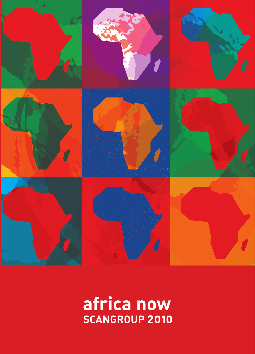

# africa now<br>SCANGROUP 2010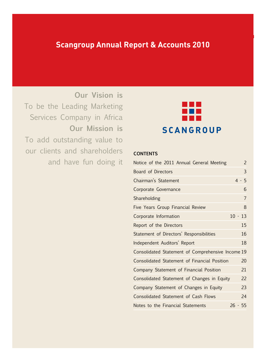# **Scangroup Annual Report & Accounts 2010**

**Our Vision is** To be the Leading Marketing Services Company in Africa **Our Mission is** To add outstanding value to our clients and shareholders and have fun doing it



**1**

#### **CONTENTS**

| Notice of the 2011 Annual General Meeting         |           | $\overline{2}$ |
|---------------------------------------------------|-----------|----------------|
| Board of Directors                                |           | 3              |
| Chairman's Statement                              | $4 -$     | 5              |
| Corporate Governance                              |           | 6              |
| Shareholding                                      |           | $\overline{7}$ |
| Five Years Group Financial Review                 |           | 8              |
| Corporate Information                             | $10 - 13$ |                |
| Report of the Directors                           |           | 15             |
| Statement of Directors' Responsibilities          |           | 16             |
| Independent Auditors' Report                      |           | 18             |
| Consolidated Statement of Comprehensive Income 19 |           |                |
| Consolidated Statement of Financial Position      |           | 20             |
| Company Statement of Financial Position           |           | 21             |
| Consolidated Statement of Changes in Equity       |           | 22             |
| Company Statement of Changes in Equity            |           | 23             |
| Consolidated Statement of Cash Flows              |           | 24             |
| Notes to the Financial Statements                 | $26 - 55$ |                |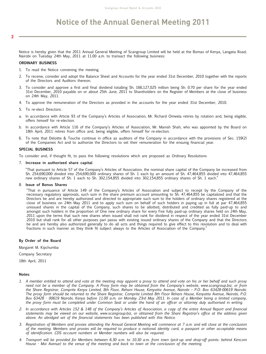# **Notice of the Annual General Meeting 2011**

**2**

Notice is hereby given that the 2011 Annual General Meeting of Scangroup Limited will be held at the Bomas of Kenya, Langata Road, Nairobi on Tuesday 24th May, 2011 at 11.00 a.m. to transact the following business:

#### **ORDINARY BUSINESS**

- 1. To read the Notice convening the meeting.
- 2. To receive, consider and adopt the Balance Sheet and Accounts for the year ended 31st December, 2010 together with the reports of the Directors and Auditors thereon.
- 3. To consider and approve a first and final dividend totalling Sh. 166,127,025 million being Sh. 0.70 per share for the year ended 31st December, 2010 payable on or about 25th June, 2011 to Shareholders on the Register of Members at the close of business on 24th May, 2011.
- 4. To approve the remuneration of the Directors as provided in the accounts for the year ended 31st December, 2010.
- 5. To re-elect Directors:
- a. In accordance with Article 93 of the Company's Articles of Association, Mr. Richard Omwela retires by rotation and, being eligible, offers himself for re-election.
- b. In accordance with Article 116 of the Company's Articles of Association, Mr. Manish Shah, who was appointed by the Board on 18th April, 2011 retires from office and, being eligible, offers himself for re-election.
- 6. To note that Deloitte & Touche continue in office as auditors of the Company in accordance with the provisions of Sec. 159(2) of the Companies Act and to authorize the Directors to set their remuneration for the ensuing financial year.

#### **SPECIAL BUSINESS**

To consider and, if thought fit, to pass the following resolutions which are proposed as Ordinary Resolutions

#### 7. **Increase in authorized share capital**

 "That pursuant to Article 57 of the Company's Articles of Association, the nominal share capital of the Company be increased from Sh. 254,690,000 divided into 254,690,000 ordinary shares of Sh. 1 each by an amount of Sh. 47,464,855 divided into 47,464,855 new ordinary shares of Sh. 1 each to Sh. 302,154,855 divided into 302,154,855 ordinary shares of Sh. 1 each."

#### 8. **Issue of Bonus Shares**

 "That in pursuance of Article 149 of the Company's Articles of Association and subject to receipt by the Company of the necessary regulatory approvals, such sum in the share premium account amounting to Sh. 47,464,855 be capitalized and that the Directors be and are hereby authorized and directed to appropriate such sum to the holders of ordinary shares registered at the close of business on 24th May 2011 and to apply such sum on behalf of such holders in paying up in full at par 47,464,855 unissued shares in the capital of the Company, such shares to be allotted, distributed and credited as fully paid-up to and amongst such holders in the proportion of One new ordinary share for every Five fully paid-up ordinary shares held on 24th May, 2011 upon the terms that such new shares when issued shall not rank for dividend in respect of the year ended 31st December 2010 but shall rank for all other purposes pari passu with existing issued ordinary shares of the Company and that the Directors be and are hereby also authorized generally to do all acts and things required to give effect to this resolution and to deal with fractions in such manner as they think fit subject always to the Articles of Association of the Company."

#### **By Order of the Board**

Margaret M. Kipchumba

Company Secretary

18th April, 2011

#### **Notes**:

- *1. A member entitled to attend and vote at the meeting may appoint a proxy to attend and vote on his or her behalf and such proxy need not be a member of the Company. A Proxy form may be obtained from the Company's website, www.scangroup.biz, or from the Share Registrar, Comprite Kenya Limited, 8th Floor, Rehani House, Kenyatta Avenue, Nairobi – P.O. Box 63428-00619 Nairobi. The proxy form should be returned to the Share Registrar, Comprite Limited 8th Floor Rehani House, Kenyatta Avenue, Nairobi, P.O. Box 63428 - 00619 Nairobi, Kenya before 11.00 a.m. on Monday 23rd May 2011. In case of a Member being a limited company, the proxy form must be completed under Common Seal or under the hand of an officer or attorney duly authorised in writing.*
- *2. In accordance with Articles 152 & 148 of the Company's Articles of Association, a copy of the entire Annual Report and financial statements may be viewed on our website, www.scangroup.biz, or obtained from the Share Registrar's office at the address given above. An abridged set of the financial statements has been published with this Notice.*
- *3. Registration of Members and proxies attending the Annual General Meeting will commence at 7 a.m. and will close at the conclusion of the meeting. Members and proxies will be required to produce a national identity card, a passport or other acceptable means of identification. CDS account numbers or Member numbers will also be required.*
- *4. Transport will be provided for Members between 6.30 a.m. to 10.30 a.m. from town (pick-up and drop-off points: behind Kencom House - Moi Avenue) to the venue of the meeting and back to town at the conclusion of the meeting.*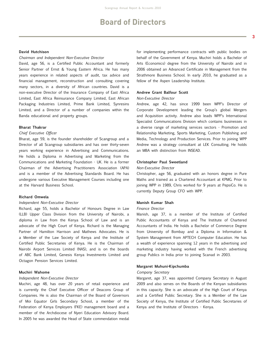#### **David Hutchison**

*Chairman and Independent Non-Executive Director*

David, age 56, is a Certified Public Accountant and formerly Senior Partner of Ernst & Young Eastern Africa. He has many years experience in related aspects of audit, tax advice and financial management, reconstruction and consulting covering many sectors, in a diversity of African countries. David is a non-executive Director of the Insurance Company of East Africa Limited, East Africa Reinsurance Company Limited, East African Packaging Industries Limited, Prime Bank Limited, Synresins Limited, and a Director of a number of companies within the Banda educational and property groups.

#### **Bharat Thakrar**

#### *Chief Executive Officer*

Bharat, age 59, is the founder shareholder of Scangroup and a Director of all Scangroup subsidiaries and has over thirty-seven years working experience in Advertising and Communications. He holds a Diploma in Advertising and Marketing from the Communications and Marketing Foundation - UK. He is a former Chairman of the Advertising Practitioners Association (APA) and is a member of the Advertising Standards Board. He has undergone various Executive Management Courses including one at the Harvard Business School.

#### **Richard Omwela**

#### *Independent Non-Executive Director*

Richard, age 55, holds a Bachelor of Honours Degree in Law (LLB) Upper Class Division from the University of Nairobi, a diploma in Law from the Kenya School of Law and is an advocate of the High Court of Kenya. Richard is the Managing Partner of Hamilton Harrison and Mathews Advocates. He is a Member of the Law Society of Kenya and the Institute of Certified Public Secretaries of Kenya. He is the Chairman of Nairobi Airport Services Limited (NAS), and is on the boards of ABC Bank Limited, Genesis Kenya Investments Limited and Octagon Pension Services Limited.

#### **Muchiri Wahome**

#### *Independent Non-Executive Director*

Muchiri, age 48, has over 20 years of retail experience and is currently the Chief Executive Officer of Deacons Group of Companies. He is also the Chairman of the Board of Governors of Moi Equator Girls Secondary School, a member of the Federation of Kenya Employers (FKE) management board and a member of the Archdiocese of Nyeri Education Advisory Board. In 2005 he was awarded the Head of State commendation medal for implementing performance contracts with public bodies on behalf of the Government of Kenya. Muchiri holds a Bachelor of Arts (Economics) degree from the University of Nairobi and in 2006 obtained an Advanced Certificate in Management from the Strathmore Business School. In early 2010, he graduated as a fellow of the Aspen Leadership Institute.

#### **Andrew Grant Balfour Scott**

#### *Non-Executive Director*

Andrew, age 42, has since 1999 been WPP's Director of Corporate Development leading the Group's global Mergers and Acquisition activity. Andrew also leads WPP's International Specialist Communications Division which contains businesses in a diverse range of marketing services sectors - Promotion and Relationship Marketing, Sports Marketing, Custom Publishing and Media, Technology and Production Services. Prior to joining WPP Andrew was a strategy consultant at LEK Consulting. He holds an MBA with distinction from INSEAD.

#### **Christopher Paul Sweetland**

#### *Non-Executive Directo*r

Christopher, age 56, graduated with an honors degree in Pure Maths and trained as a Chartered Accountant at KPMG. Prior to joining WPP in 1989, Chris worked for 9 years at PepsiCo. He is currently Deputy Group CFO with WPP.

#### **Manish Kumar Shah**

#### *Finance Director*

Manish, age 37, is a member of the Institute of Certified Public Accountants of Kenya and The Institute of Chartered Accountants of India. He holds a Bachelor of Commerce Degree from University of Bombay and a Diploma in Information & System Management from APTECH Computer Education. He has a wealth of experience spanning 12 years in the advertising and marketing industry having worked with the French advertising group Publics in India prior to joining Scanad in 2003.

#### **Margaret Muhuni-Kipchumba**

#### *Company Secretary*

Margaret, age 37, was appointed Company Secretary in August 2009 and also serves on the Boards of the Kenyan subsidiaries in this capacity. She is an advocate of the High Court of Kenya and a Certified Public Secretary. She is a Member of the Law Society of Kenya, the Institute of Certified Public Secretaries of Kenya and the Institute of Directors - Kenya.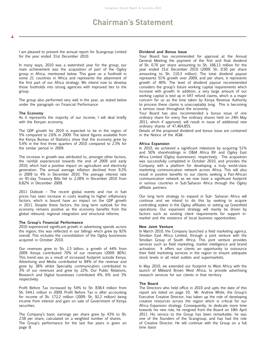**4**

I am pleased to present the annual report for Scangroup Limited for the year ended 31st December 2010.

In many ways, 2010 was a watershed year for the group; our main achievement was the acquisition of part of the Ogilvy group in Africa, mentioned below. This gave us a foothold in some 21 countries in Africa and represents the attainment of the first part of our Africa strategy. We intend now to develop those footholds into strong agencies with improved ties to the group.

The group also performed very well in the year, as stated below under the paragraph on Financial Performance

#### **The Economy**

As it represents the majority of our income, I will deal briefly with the Kenyan economy.

The GDP growth for 2010 is expected to be in the region of 5% compared to 2.6% in 2009. The latest figures available from the Kenya Bureau of Statistics show that the economy grew by 5.4% in the first three quarters of 2010 compared to 2.3% for the similar period in 2009.

The increase in growth was attributed to, amongst other factors, the rainfall experienced towards the end of 2009 and early 2010, which had a positive impact on agriculture and electricity generation. The annual average inflation declined from 9.2% in 2009 to 4% in December 2010. The average interest rate on 91-day Treasury Bills fell to 2.28% in December 2010 from 6.82% in December 2009.

2011 Outlook – The recent global events and rise in fuel prices has seen increase in costs leading to higher inflationary factors, which is bound have an impact on the GDP growth in 2011. Despite these factors, the long term outlook for the economy remains positive as the economy benefits from the global rebound, regional integration and structural reforms.

#### **The Group's Financial Performance**

2010 experienced significant growth in advertising spends across the region; this was reflected in our billings which grew by 92% overall. This includes the consolidation of the Ogilvy businesses acquired in October 2010.

Our revenues grew to Sh. 2.3 billion, a growth of 44% from 2009. Kenya contributed 70% of our revenues (2009: 80%). This trend was as a result of increased footprint outside Kenya. Advertising and Media contributed to 84% of the revenue and grew by 38% whilst Speciality communication contributed to 3% of our revenues and grew by 22%. Our Public Relations, Research and Digital businesses contributed 4%, 6% and 3% respectively.

Profit Before Tax increased by 54% to Sh. 838.4 million from Sh. 544.1 million in 2009. Profit Before Tax is after accounting for income of Sh. 172.2 million (2009: Sh. 92.2 million) being income from interest and gain on sale of Government of Kenya securities.

The Company's basic earnings per share grew by 43% to Sh. 2.58 per share, calculated on a weighted number of shares. The Group's performance for the last five years is given on page 8.

#### **Dividend and Bonus Issue**

Your Board has recommended for approval at the Annual General Meeting the payment of the first and final dividend of Sh. 0.70 per share amounting to Sh. 166.13 million for the year ended 31st December 2010 (2009: Sh. 0.50 per share amounting to Sh. 110.3 million). The total dividend payout represents 51% growth over 2009, and per share, it represents growth of 40%. The level of dividend payout recommended considers the group's future working capital requirements which increase with growth. In addition, a very large amount of our working capital is tied up in VAT refund claims, which is a major concern for us as the time taken by Kenya Revenue Authority to process these claims is unacceptably long. This is becoming a serious issue throughout the economy.

Your Board has also recommended a bonus issue of one ordinary share for every five ordinary shares held on 24th May 2011, which if approved, will result in issue of additional new ordinary shares of 47,464,855.

Details of the proposed dividend and bonus issue are contained in the Notice of the AGM.

#### **Africa Expansion**

In 2010, we achieved a significant milestone by acquiring 51% and 50% shareholdings in O&M Africa BV and Ogilvy East Africa Limited (Ogilvy businesses), respectively. The acquisition was successfully completed in October 2010, and provides the Company with a platform for developing a truly world-class marketing communication network across Africa. This will also result in positive benefits to our clients seeking a Pan-African communication network as we now have a significant footprint in various countries in Sub-Saharan Africa through the Ogilvy affiliate partners.

Our long term strategy to expand in Sub- Saharan Africa will continue and we intend to do this by seeking to acquire controlling stakes in the Ogilvy affiliates or setting up Greenfield operations. Our expansion strategy will mainly be driven by factors such as existing client requirements for support inmarket and the existence of local business opportunities.

#### **New Joint Venture**

In March 2010, the Company launched a field marketing agency, Smollan East Africa Limited, through a joint venture with the Smollan Group of South Africa. This joint venture provides services such as field marketing, market intelligence and brand activation. It offers our clients an opportunity to outsource their field marketing services in the region to ensure adequate stock levels in all retail outlets and supermarkets.

In May 2010, we extended our footprint to West Africa with the launch of Millward Brown West Africa, to provide advertising research services for our clients in that territory.

#### **The Board**

The Directors who held office in 2010 and upto the date of this report are listed on page 10. Mr. Andrew White, the Group's Executive Creative Director, has taken up the role of developing creative resources across the region which is critical for our Africa Expansion strategy. Consequently, to dedicate more time towards his new role, he resigned from the Board on 18th April 2011. His service to the Group has been remarkable; he was one of the founders of the Scangroup, and has had the role of Creative Director. He will continue with the Group on a full time basis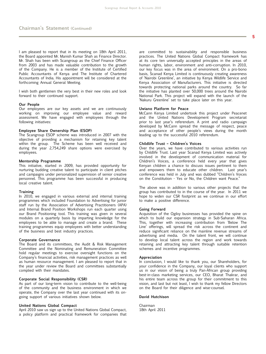I am pleased to report that in its meeting on 18th April 2011, the Board appointed Mr. Manish Kumar Shah as Finance Director. Mr. Shah has been with Scangroup as the Chief Finance Officer from 2003 and has made valuable contribution to the growth of the Company. He is a member of the Institute of Certified Public Accountants of Kenya and The Institute of Chartered Accountants of India. His appointment will be considered at the forthcoming Annual General Meeting.

I wish both gentlemen the very best in their new roles and look forward to their continued support.

#### **Our People**

Our employees are our key assets and we are continuously working on improving our employee value and reward assessment. We have engaged with employees through the following initiatives:

#### **Employee Share Ownership Plan (ESOP)**

The Scangroup ESOP scheme was introduced in 2007 with the objective of providing a mechanism for retaining key talent within the group. The Scheme has been well received and during the year 2,754,249 share options were exercised by employees.

#### **Mentorship Programme**

This initiative, started in 2009, has provided opportunity for nurturing budding creative talent to participate in client pitches and campaigns under personalized supervision of senior creative personnel. This programme has been successful in producing local creative talent.

#### **Training**

In 2010, we engaged in various external and internal training programmes which included Foundation to Advertising for junior staff run by the Association of Advertising Practitioners (APA) and Internal Brand Position Workshops run each quarter using our Brand Positioning tool. This training was given in several modules on a quarterly basis by imparting knowledge for the employees to be able to manage and create a brand. These training programmes equip employees with better understanding of the business and best industry practices.

#### **Corporate Governance**

The Board and its committees, the Audit & Risk Management Committee and the Nominating and Remuneration Committee hold regular meetings to exercise oversight functions on the Company's financial activities, risk management practices as well as human resource management. I am pleased to report that in the year under review the Board and committees substantially complied with their mandates.

#### **Corporate Social Responsibility (CSR)**

As part of our long-term vision to contribute to the well-being of the community and the business environment in which we operate, the Company over the last year continued with its ongoing support of various initiatives shown below.

#### **United Nations Global Compact**

April 2010 saw us sign up to the United Nations Global Compact, a policy platform and practical framework for companies that are committed to sustainability and responsible business practices. The United Nations Global Compact framework has at its core ten universally accepted principles in the areas of human rights, labor, environment and anti–corruption. In 2010, our key focus was in the area of environment. On a pro-bono basis, Scanad Kenya Limited is continuously creating awareness of 'Nairobi Greenline', an initiative by Kenya Wildlife Service and Kenya Association of Manufacturers. This initiative is directed towards protecting national parks around the country. So far the initiative has planted over 50,000 trees around the Nairobi National Park. This project will expand with the launch of the 'Nakuru Greenline' set to take place later on this year.

#### **Uwiano Platform for Peace**

McCann Kenya Limited undertook this project under Peacenet and the United Nations Development Program secretariat prior to last year's referendum. A print and radio campaign developed by McCann spread the message of respect, peace and acceptance of other people's views during the month leading up to the successful 2010 referendum.

#### **Childlife Trust – Children's Voices**

Over the years, we have contributed to various activities run by Childlife Trust. Last year Scanad Kenya Limited was actively involved in the development of communication material for Children's Voices, a conference held every year that gives Kenyan children a chance to discuss issues pertinent to them and empowers them to educate other children. Last year's conference was held in July and was dubbed "Children's Voices on the Constitution - Yes or No, the Children want Peace."

The above was in addition to various other projects that the group has contributed to in the course of the year. In 2011 we hope to widen our CSR footprint as we continue in our effort to make a positive difference.

#### **Going Forward**

Acquisition of the Ogilvy businesses has provided the spine on which to build our expansion strategy in Sub-Saharan Africa. This, together with increasing contribution from 'Below The Line' offerings, will spread the risk across the continent and reduce significant reliance on the mainline revenue streams of advertising and media. On the talent front, we will continue to develop local talent across the region and work towards retaining and attracting key talent through suitable retention schemes and incentive programmes.

#### **Appreciation**

In conclusion, I would like to thank you, our Shareholders, for your confidence in the Company, our loyal clients who support us in our vision of being a truly Pan-African group providing best-in-class marketing services, our CEO, Bharat Thakrar, and his entire team across the group for their commitment to this vision, and last but not least, I wish to thank my fellow Directors on the Board for their diligence and wise-counsel.

#### **David Hutchison**

Chairman 18th April 2011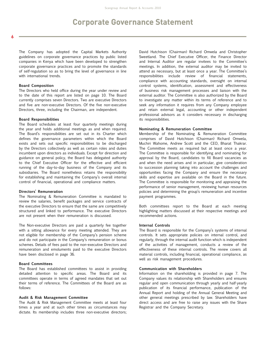# **Corporate Governance Statement**

**6**

The Company has adopted the Capital Markets Authority guidelines on corporate governance practices by public listed companies in Kenya which have been developed to strengthen corporate governance practices and to promote the standards of self-regulation so as to bring the level of governance in line with international trends.

#### **Board Composition**

The Directors who held office during the year under review and to the date of this report are listed on page 10. The Board currently comprises seven Directors. Two are executive Directors and five are non-executive Directors. Of the five non-executive Directors, three, including the Chairman, are independent.

#### **Board Responsibilities**

The Board schedules at least four quarterly meetings during the year and holds additional meetings as and when required. The Board's responsibilities are set out in its Charter which defines the governance parameters within which the Board exists and sets out specific responsibilities to be discharged by the Directors collectively as well as certain roles and duties incumbent upon directors as individuals. Except for direction and guidance on general policy, the Board has delegated authority to the Chief Executive Officer for the effective and efficient running of the day-to-day business of the Company and its subsidiaries. The Board nonetheless retains the responsibility for establishing and maintaining the Company's overall internal control of financial, operational and compliance matters.

#### **Directors' Remuneration**

The Nominating & Remuneration Committee is mandated to review the salaries, benefit packages and service contracts of the executive Directors to ensure that the same are competitively structured and linked to performance. The executive Directors are not present when their remuneration is discussed.

The Non-executive Directors are paid a quarterly fee together with a sitting allowance for every meeting attended. They are not eligible for membership of the Company's pension scheme and do not participate in the Company's remuneration or bonus schemes. Details of fees paid to the non-executive Directors and remuneration and emoluments paid to the executive Directors have been disclosed in page 36.

#### **Board Committees**

The Board has established committees to assist in providing detailed attention to specific areas. The Board and its committees operate in terms of agreed mandates that set out their terms of reference. The Committees of the Board are as follows:

#### **Audit & Risk Management Committee**

The Audit & Risk Management Committee meets at least four times a year and at such other times as circumstances may dictate. Its membership includes three non-executive directors; David Hutchison (Chairman) Richard Omwela and Christopher Sweetland. The Chief Executive Officer, the Finance Director and Internal Auditor are regular invitees to the Committee's meetings. In addition, the external auditor may be invited to attend as necessary, but at least once a year. The Committee's responsibilities include review of financial statements, compliance with accounting standards, oversight on internal control systems, identification, assessment and effectiveness of business risk management processes and liaison with the external auditor. The Committee is also authorized by the Board to investigate any matter within its terms of reference and to seek any information it requires from any Company employee and retain external legal, accounting or other independent professional advisors as it considers necessary in discharging its responsibilities.

#### **Nominating & Remuneration Committee**

Membership of the Nominating & Remuneration Committee comprises of David Hutchison (Chairman) Richard Omwela, Muchiri Wahome, Andrew Scott and the CEO, Bharat Thakrar. The Committee meets as required but at least once a year. The Committee is responsible for identifying and nominating for approval by the Board, candidates to fill Board vacancies as and when the need arises and in particular, give consideration to succession planning taking into account the challenges and opportunities facing the Company and ensure the necessary skills and expertise are available on the Board in the future. The Committee is responsible for monitoring and appraising the performance of senior management, reviewing human resources policies and determining the group's remuneration and incentive payment programmes.

Both committees report to the Board at each meeting highlighting matters discussed at their respective meetings and recommended actions.

#### **Internal Controls**

The Board is responsible for the Company's systems of internal controls. It sets appropriate policies on internal control, and regularly, through the internal audit function which is independent of the activities of management, conducts a review of the effectiveness of these internal controls. The review covers all material controls, including financial, operational compliance, as well as risk management procedures.

#### **Communication with Shareholders**

Information on the shareholding is provided in page 7. The Company values its relationship with Shareholders and ensures regular and open communication through yearly and half-yearly publication of its financial performance, publication of the Annual Report and holding of the Annual General Meeting and other general meetings prescribed by law. Shareholders have direct access and are free to raise any issues with the Share Registrar and the Company Secretary.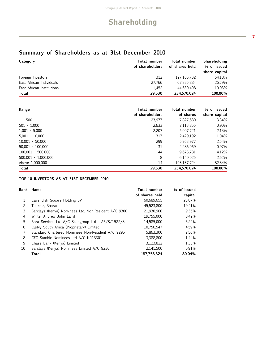# **Shareholding**

# **Summary of Shareholders as at 31st December 2010**

| Category                  | Total number<br>of shareholders | Total number<br>of shares held | Shareholding<br>% of issued<br>share capital |
|---------------------------|---------------------------------|--------------------------------|----------------------------------------------|
| Foreign Investors         | 312                             | 127,103,732                    | 54.18%                                       |
| East African Individuals  | 27.766                          | 62,835,884                     | 26.79%                                       |
| East African Institutions | 1.452                           | 44,630,408                     | 19.03%                                       |
| Total                     | 29.530                          | 234,570,024                    | 100.00%                                      |

| Range                 | Total number    | Total number | % of issued   |
|-----------------------|-----------------|--------------|---------------|
|                       | of shareholders | of shares    | share capital |
| $1 - 500$             | 23,977          | 7,827,680    | 3.34%         |
| $501 - 1,000$         | 2,633           | 2,113,855    | 0.90%         |
| $1,001 - 5,000$       | 2,207           | 5,007,721    | 2.13%         |
| $5,001 - 10,000$      | 317             | 2,429,192    | 1.04%         |
| $10,001 - 50,000$     | 299             | 5,953,977    | 2.54%         |
| $50,001 - 100,000$    | 31              | 2,286,069    | 0.97%         |
| $100.001 - 500.000$   | 44              | 9,673,781    | 4.12%         |
| $500,001 - 1,000,000$ | 8               | 6,140,025    | 2.62%         |
| Above 1,000,000       | 14              | 193.137.724  | 82.34%        |
| Total                 | 29,530          | 234.570.024  | 100.00%       |

#### **TOP 10 INVESTORS AS AT 31ST DECEMBER 2010**

| Rank | <b>Name</b>                                           | Total number   | % of issued |
|------|-------------------------------------------------------|----------------|-------------|
|      |                                                       | of shares held | capital     |
|      | Cavendish Square Holding BV                           | 60,689,655     | 25.87%      |
|      | Thakrar, Bharat                                       | 45.523.800     | 19.41%      |
| 3    | Barclays (Kenya) Nominees Ltd. Non-Resident A/C 9300  | 21,930,900     | 9.35%       |
| 4    | White, Andrew John Laird                              | 19,755,000     | 8.42%       |
| 5    | Bora Services Ltd $A/C$ Scangroup Ltd - $AB/S/1522/8$ | 14.585.000     | 6.22%       |
| 6    | Ogilvy South Africa (Proprietary) Limited             | 10.756.547     | 4.59%       |
|      | Standard Chartered Nominees Non-Resident A/C 9296     | 5,863,300      | 2.50%       |
| 8    | CFC Stanbic Nominees Ltd A/C NR13301                  | 3,388,800      | 1.44%       |
| 9    | Chase Bank (Kenya) Limited                            | 3,123,822      | 1.33%       |
| 10   | Barclays (Kenya) Nominees Limited A/C 9230            | 2,141,500      | 0.91%       |
|      | Total                                                 | 187.758.324    | 80.04%      |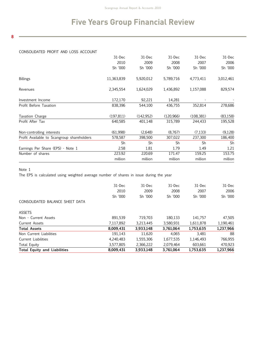# **Five Years Group Financial Review**

**8**

#### CONSOLIDATED PROFIT AND LOSS ACCOUNT

|                                            | 31-Dec     | 31-Dec    | 31-Dec    | 31-Dec     | 31-Dec    |
|--------------------------------------------|------------|-----------|-----------|------------|-----------|
|                                            | 2010       | 2009      | 2008      | 2007       | 2006      |
|                                            | Sh '000    | Sh '000   | Sh '000   | Sh '000    | Sh '000   |
| <b>Billings</b>                            | 11,363,839 | 5,920,012 | 5,789,716 | 4,773,411  | 3,012,461 |
| Revenues                                   | 2,345,554  | 1,624,029 | 1,436,892 | 1,157,088  | 829,574   |
| Investment Income                          | 172,170    | 92,221    | 14,281    |            |           |
| Profit Before Taxation                     | 838,396    | 544,100   | 436,755   | 352,814    | 278,686   |
| <b>Taxation Charge</b>                     | (197, 811) | (142,952) | (120,966) | (108, 381) | (83, 158) |
| Profit After Tax                           | 640,585    | 401,148   | 315,789   | 244,433    | 195,528   |
| Non-controlling interests                  | (61,998)   | (2,648)   | (8,767)   | (7, 133)   | (9,128)   |
| Profit Available to Scangroup shareholders | 578,587    | 398,500   | 307,022   | 237,300    | 186,400   |
|                                            | Sh         | Sh        | Sh        | Sh         | Sh        |
| Earnings Per Share (EPS) - Note 1          | 2.58       | 1.81      | 1.79      | 1.49       | 1.21      |
| Number of shares                           | 223.92     | 220.69    | 171.47    | 159.25     | 153.75    |
|                                            | million    | million   | million   | million    | million   |

#### Note 1

The EPS is calculated using weighted average number of shares in issue during the year

| <b>Total Equity and Liabilities</b> | 8,009,431 | 3,933,148 | 3,761,064 | 1,753,635 | 1,237,966 |
|-------------------------------------|-----------|-----------|-----------|-----------|-----------|
| <b>Total Equity</b>                 | 3,577,805 | 2,366,222 | 2.079.464 | 603.661   | 470,923   |
| Current Liabilities                 | 4.240.483 | 1,555,306 | 1,677,535 | 1,146,493 | 766,955   |
| Non Current Liabilities             | 191,143   | 11.620    | 4.065     | 3,481     | 88        |
| <b>Total Assets</b>                 | 8,009,431 | 3,933,148 | 3,761,064 | 1,753,635 | 1,237,966 |
| Current Assets                      | 7,117,892 | 3.213.445 | 3.580.931 | 1.611.878 | 1,190,461 |
| Non - Current Assets                | 891,539   | 719,703   | 180,133   | 141,757   | 47,505    |
| <b>ASSETS</b>                       |           |           |           |           |           |
| CONSOLIDATED BALANCE SHEET DATA     |           |           |           |           |           |
|                                     | Sh '000   | Sh '000   | Sh '000   | Sh '000   | Sh '000   |
|                                     | 2010      | 2009      | 2008      | 2007      | 2006      |
|                                     | $31$ -Dec | 31-Dec    | 31-Dec    | $31$ -Dec | $31$ -Dec |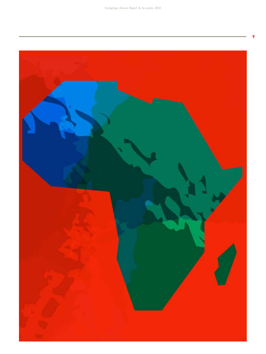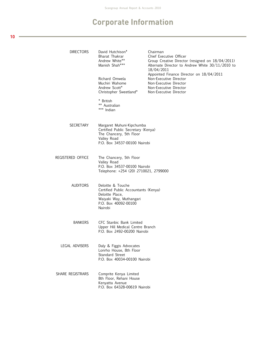# **Corporate Information**

| <b>DIRECTORS</b>  | David Hutchison*<br>Bharat Thakrar<br>Andrew White**<br>Manish Shah***<br>Richard Omwela<br>Muchiri Wahome<br>Andrew Scott*<br>Christopher Sweetland*<br>* British<br>** Australian<br>*** Indian | Chairman<br>Chief Executive Officer<br>Group Creative Director (resigned on 18/04/2011)<br>Alternate Director to Andrew White 30/11/2010 to<br>18/04/2011<br>Appointed Finance Director on 18/04/2011<br>Non-Executive Director<br>Non-Executive Director<br>Non-Executive Director<br>Non-Executive Director |
|-------------------|---------------------------------------------------------------------------------------------------------------------------------------------------------------------------------------------------|---------------------------------------------------------------------------------------------------------------------------------------------------------------------------------------------------------------------------------------------------------------------------------------------------------------|
| <b>SECRETARY</b>  | Margaret Muhuni-Kipchumba<br>Certified Public Secretary (Kenya)<br>The Chancery, 5th Floor<br>Valley Road<br>P.O. Box 34537-00100 Nairobi                                                         |                                                                                                                                                                                                                                                                                                               |
| REGISTERED OFFICE | The Chancery, 5th Floor<br>Valley Road<br>P.O. Box 34537-00100 Nairobi<br>Telephone: +254 (20) 2710021, 2799000                                                                                   |                                                                                                                                                                                                                                                                                                               |
| <b>AUDITORS</b>   | Deloitte & Touche<br>Certified Public Accountants (Kenya)<br>Deloitte Place,<br>Waiyaki Way, Muthangari<br>P.O. Box 40092-00100<br>Nairobi                                                        |                                                                                                                                                                                                                                                                                                               |
| <b>BANKERS</b>    | CFC Stanbic Bank Limited<br>Upper Hill Medical Centre Branch<br>P.O. Box 2492-00200 Nairobi                                                                                                       |                                                                                                                                                                                                                                                                                                               |
| LEGAL ADVISERS    | Daly & Figgis Advocates<br>Lonrho House, 8th Floor<br>Standard Street<br>P.O. Box 40034-00100 Nairobi                                                                                             |                                                                                                                                                                                                                                                                                                               |
| SHARE REGISTRARS  | Comprite Kenya Limited<br>8th Floor, Rehani House<br>Kenyatta Avenue<br>P.O. Box 64328-00619 Nairobi                                                                                              |                                                                                                                                                                                                                                                                                                               |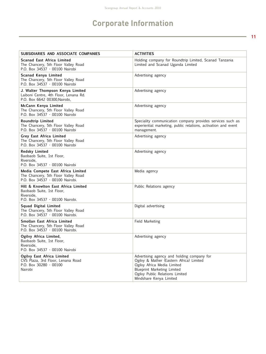# **Corporate Information**

| I | ۰. |
|---|----|
|   |    |
|   |    |
|   |    |

| SUBSIDIARIES AND ASSOCIATE COMPANIES                                                                              | <b>ACTIVITIES</b>                                                                                                                                                                                                         |
|-------------------------------------------------------------------------------------------------------------------|---------------------------------------------------------------------------------------------------------------------------------------------------------------------------------------------------------------------------|
| Scanad East Africa Limited<br>The Chancery, 5th Floor Valley Road<br>P.O. Box 34537 - 00100 Nairobi               | Holding company for Roundtrip Limited, Scanad Tanzania<br>Limited and Scanad Uganda Limited                                                                                                                               |
| Scanad Kenya Limited<br>The Chancery, 5th Floor Valley Road<br>P.O. Box 34537 - 00100 Nairobi                     | Advertising agency                                                                                                                                                                                                        |
| J. Walter Thompson Kenya Limited<br>Laiboni Centre, 4th Floor, Lenana Rd.<br>P.O. Box 6642 00300, Nairobi,        | Advertising agency                                                                                                                                                                                                        |
| McCann Kenya Limited<br>The Chancery, 5th Floor Valley Road<br>P.O. Box 34537 - 00100 Nairobi                     | Advertising agency                                                                                                                                                                                                        |
| Roundtrip Limited<br>The Chancery, 5th Floor Valley Road<br>P.O. Box 34537 - 00100 Nairobi                        | Speciality communication company provides services such as<br>experiential marketing, public relations, activation and event<br>management.                                                                               |
| Grey East Africa Limited<br>The Chancery, 5th Floor Valley Road<br>P.O. Box 34537 - 00100 Nairobi                 | Advertising agency                                                                                                                                                                                                        |
| Redsky Limited<br>Baobaob Suite, 1st Floor,<br>Riverside.<br>P.O. Box 34537 - 00100 Nairobi                       | Advertising agency                                                                                                                                                                                                        |
| Media Compete East Africa Limited<br>The Chancery, 5th Floor Valley Road<br>P.O. Box 34537 - 00100 Nairobi.       | Media agency                                                                                                                                                                                                              |
| Hill & Knowlton East Africa Limited<br>Baobaob Suite, 1st Floor,<br>Riverside.<br>P.O. Box 34537 - 00100 Nairobi. | Public Relations agency                                                                                                                                                                                                   |
| Squad Digital Limited<br>The Chancery, 5th Floor Valley Road<br>P.O. Box 34537 - 00100 Nairobi.                   | Digital advertising                                                                                                                                                                                                       |
| Smollan East Africa Limited<br>The Chancery, 5th Floor Valley Road<br>P.O. Box 34537 - 00100 Nairobi.             | Field Marketing                                                                                                                                                                                                           |
| Ogilvy Africa Limited,<br>Baobaob Suite, 1st Floor,<br>Riverside.<br>P.O. Box 34537 - 00100 Nairobi               | Advertising agency                                                                                                                                                                                                        |
| Ogilvy East Africa Limited<br>CVS Plaza, 3rd Floor, Lenana Road<br>P.O. Box 30280 - 00100<br>Nairobi              | Advertising agency and holding company for<br>Ogilvy & Mather (Eastern Africa) Limited<br>Ogilvy Africa Media Limited<br><b>Blueprint Marketing Limited</b><br>Ogilvy Public Relations Limited<br>Mindshare Kenya Limited |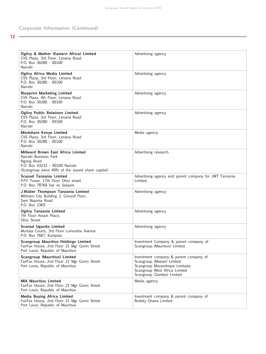<u> 1980 - John Barn Barn, amerikansk politiker</u>

# **Corporate Information (Continued)**

| Ogilvy & Mather (Eastern Africa) Limited<br>CVS Plaza, 3rd Floor, Lenana Road<br>P.O. Box 30280 - 00100<br>Nairobi                                              | Advertising agency                                                                                                                                                   |
|-----------------------------------------------------------------------------------------------------------------------------------------------------------------|----------------------------------------------------------------------------------------------------------------------------------------------------------------------|
| Ogilvy Africa Media Limited<br>CVS Plaza, 3rd Floor, Lenana Road<br>P.O. Box 30280 - 00100<br>Nairobi                                                           | Advertising agency                                                                                                                                                   |
| <b>Blueprint Marketing Limited</b><br>CVS Plaza, 4th Floor, Lenana Road<br>P.O. Box 30280 - 00100<br>Nairobi                                                    | Advertising agency                                                                                                                                                   |
| <b>Ogilvy Public Relations Limited</b><br>CVS Plaza, 3rd Floor, Lenana Road<br>P.O. Box 30280 - 00100<br>Nairobi                                                | Advertising agency                                                                                                                                                   |
| Mindshare Kenya Limited<br>CVS Plaza, 3rd Floor, Lenana Road<br>P.O. Box 30280 - 00100<br>Nairobi                                                               | Media agency                                                                                                                                                         |
| Millward Brown East Africa Limited<br>Nairobi Business Park<br>Ngong Road<br>P.O. Box 43233 - 00100 Nairobi<br>(Scangroup owns 49% of the issued share capital) | Advertising research                                                                                                                                                 |
| Scanad Tanzania Limited<br>P.P.F Tower, 17th Floor Ohio street<br>P.O. Box 78769 Dar es Salaam                                                                  | Advertising agency and parent company for JWT Tanzania<br>Limited.                                                                                                   |
| J.Walter Thompson Tanzania Limited<br>Milimani City Building 2, Ground Floor,<br>Sam Nujoma Road<br>P.O. Box 2369                                               | Advertising agency                                                                                                                                                   |
| Ogilvy Tanzania Limited<br>7th Floor Amani Place,<br>Ohio Street                                                                                                | Advertising agency                                                                                                                                                   |
| Scanad Uganda Limited<br>Murtala Courts, 3rd Floor Lumumba Avenue<br>P.O. Box 7667, Kampala                                                                     | Advertising agency                                                                                                                                                   |
| Scangroup Mauritius Holdings Limited<br>FairFax House, 2nd Floor 21 Mgr Gonin Street<br>Port Louis, Republic of Mauritius                                       | Investment Company & parent company of<br>Scangroup (Mauritius) Limited                                                                                              |
| Scangroup (Mauritius) Limited<br>FairFax House, 2nd Floor 21 Mgr Gonin Street<br>Port Louis, Republic of Mauritius                                              | Investment company & parent company of<br>Scangroup (Malawi) Limited<br>Scangroup Mozambique Limitada<br>Scangroup West Africa Limited<br>Scangroup (Zambia) Limited |
| <b>MIA Mauritius Limited</b><br>FairFax House, 2nd Floor 21 Mgr Gonin Street<br>Port Louis, Republic of Mauritius                                               | Media agency                                                                                                                                                         |
| Media Buying Africa Limited<br>FairFax House, 2nd Floor 21 Mgr Gonin Street<br>Port Louis, Republic of Mauritius                                                | Investment company & parent company of<br>Redsky Ghana Limited                                                                                                       |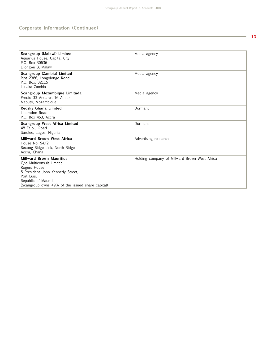| Scangroup (Malawi) Limited<br>Aquarius House, Capital City<br>P.O. Box 30636<br>Lilongwe 3, Malawi                                                                                                         | Media agency                                  |
|------------------------------------------------------------------------------------------------------------------------------------------------------------------------------------------------------------|-----------------------------------------------|
| Scangroup (Zambia) Limited<br>Plot 2386, Longolongo Road<br>P.O. Box: 32115<br>Lusaka Zambia                                                                                                               | Media agency                                  |
| Scangroup Mozambique Limitada<br>Predio 33 Andares 16 Andar<br>Maputo, Mozambique                                                                                                                          | Media agency                                  |
| Redsky Ghana Limited<br>Liberation Road<br>P.O. Box 453, Accra                                                                                                                                             | Dormant                                       |
| Scangroup West Africa Limited<br>48 Falolu Road<br>Surulee, Lagos, Nigeria                                                                                                                                 | Dormant                                       |
| Millward Brown West Africa<br>House No. $94/2$<br>Secong Ridge Link, North Ridge<br>Accra, Ghana                                                                                                           | Advertising research                          |
| <b>Millward Brown Mauritius</b><br>C/o Multiconsult Limited<br>Rogers House<br>5 President John Kennedy Street,<br>Port Luis,<br>Republic of Mauritius<br>(Scangroup owns 49% of the issued share capital) | Holding company of Millward Brown West Africa |

**13**

÷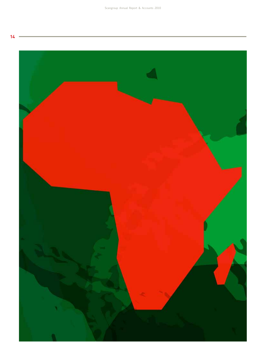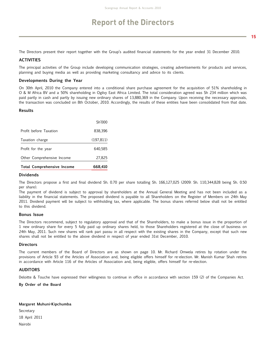# **Report of the Directors**

The Directors present their report together with the Group's audited financial statements for the year ended 31 December 2010.

#### **ACTIVITIES**

The principal activities of the Group include developing communication strategies, creating advertisements for products and services, planning and buying media as well as providing marketing consultancy and advice to its clients.

#### **Developments During the Year**

On 30th April, 2010 the Company entered into a conditional share purchase agreement for the acquisition of 51% shareholding in O & M Africa BV and a 50% shareholding in Ogilvy East Africa Limited. The total consideration agreed was Sh 234 million which was paid partly in cash and partly by issuing new ordinary shares of 13,880,369 in the Company. Upon receiving the necessary approvals, the transaction was concluded on 8th October, 2010. Accordingly, the results of these entities have been consolidated from that date.

#### **Results**

| <b>Total Comprehensive Income</b> | 668.410    |
|-----------------------------------|------------|
| Other Comprehensive Income        | 27,825     |
| Profit for the year               | 640.585    |
| Taxation charge                   | (197, 811) |
| Profit before Taxation            | 838,396    |
|                                   | Sh'000     |

#### **Dividends**

The Directors propose a first and final dividend Sh. 0.70 per share totalling Sh. 166,127,025 (2009: Sh. 110,344,828 being Sh. 0.50 per share).

The payment of dividend is subject to approval by shareholders at the Annual General Meeting and has not been included as a liability in the financial statements. The proposed dividend is payable to all Shareholders on the Register of Members on 24th May 2011. Dividend payment will be subject to withholding tax, where applicable. The bonus shares referred below shall not be entitled to this dividend.

#### **Bonus Issue**

The Directors recommend, subject to regulatory approval and that of the Shareholders, to make a bonus issue in the proportion of 1 new ordinary share for every 5 fully paid up ordinary shares held, to those Shareholders registered at the close of business on 24th May, 2011. Such new shares will rank pari passu in all respect with the existing shares in the Company, except that such new shares shall not be entitled to the above dividend in respect of year ended 31st December, 2010.

#### **Directors**

The current members of the Board of Directors are as shown on page 10. Mr. Richard Omwela retires by rotation under the provisions of Article 93 of the Articles of Association and, being eligible offers himself for re-election. Mr. Manish Kumar Shah retires in accordance with Article 116 of the Articles of Association and, being eligible, offers himself for re-election.

#### **AUDITORS**

Deloitte & Touche have expressed their willingness to continue in office in accordance with section 159 (2) of the Companies Act.

#### **By Order of the Board**

# **Margaret Muhuni-Kipchumba** Secretary 18 April 2011

Nairobi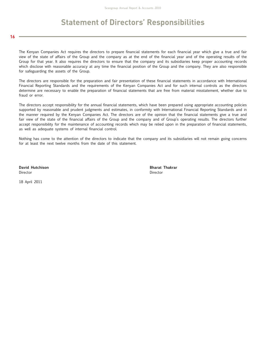# **Statement of Directors' Responsibilities**

**16**

The Kenyan Companies Act requires the directors to prepare financial statements for each financial year which give a true and fair view of the state of affairs of the Group and the company as at the end of the financial year and of the operating results of the Group for that year. It also requires the directors to ensure that the company and its subsidiaries keep proper accounting records which disclose with reasonable accuracy at any time the financial position of the Group and the company. They are also responsible for safeguarding the assets of the Group.

The directors are responsible for the preparation and fair presentation of these financial statements in accordance with International Financial Reporting Standards and the requirements of the Kenyan Companies Act and for such internal controls as the directors determine are necessary to enable the preparation of financial statements that are free from material misstatement, whether due to fraud or error.

The directors accept responsibility for the annual financial statements, which have been prepared using appropriate accounting policies supported by reasonable and prudent judgments and estimates, in conformity with International Financial Reporting Standards and in the manner required by the Kenyan Companies Act. The directors are of the opinion that the financial statements give a true and fair view of the state of the financial affairs of the Group and the company and of Group's operating results. The directors further accept responsibility for the maintenance of accounting records which may be relied upon in the preparation of financial statements, as well as adequate systems of internal financial control.

Nothing has come to the attention of the directors to indicate that the company and its subsidiaries will not remain going concerns for at least the next twelve months from the date of this statement.

**David Hutchison Bharat Thakrar** Director Director

18 April 2011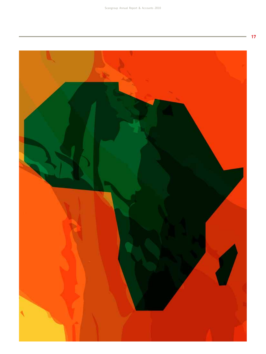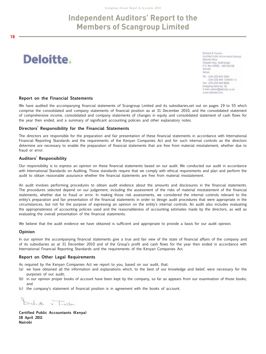# **Independent Auditors' Report to the Members of Scangroup Limited**

**18**



Deloitte & Touche Certified Public Accountants (Kenya) Delivitte Plane Walyaki Way, Muthangari P.O. Box 40092 - GPO 00100 Nairobi Kenya Tel: +254 (20) 423 0000 +254 (20) 444 1344/05-12 Fax: +254 (20) 444 8966 Dropping Zone No. 92 E-mail: admin@deloitte.co.ke www.delotte.com

#### **Report on the Financial Statements**

We have audited the accompanying financial statements of Scangroup Limited and its subsidiaries,set out on pages 19 to 55 which comprise the consolidated and company statements of financial position as at 31 December 2010, and the consolidated statement of comprehensive income, consolidated and company statements of changes in equity and consolidated statement of cash flows for the year then ended, and a summary of significant accounting policies and other explanatory notes.

#### **Directors' Responsibility for the Financial Statements**

The directors are responsible for the preparation and fair presentation of these financial statements in accordance with International Financial Reporting Standards and the requirements of the Kenyan Companies Act and for such internal controls as the directors determine are necessary to enable the preparation of financial statements that are free from material misstatement, whether due to fraud or error.

#### **Auditors' Responsibility**

Our responsibility is to express an opinion on these financial statements based on our audit. We conducted our audit in accordance with International Standards on Auditing. Those standards require that we comply with ethical requirements and plan and perform the audit to obtain reasonable assurance whether the financial statements are free from material misstatement.

An audit involves performing procedures to obtain audit evidence about the amounts and disclosures in the financial statements. The procedures selected depend on our judgement, including the assessment of the risks of material misstatement of the financial statements, whether due to fraud or error. In making those risk assessments, we considered the internal controls relevant to the entity's preparation and fair presentation of the financial statements in order to design audit procedures that were appropriate in the circumstances, but not for the purpose of expressing an opinion on the entity's internal controls. An audit also includes evaluating the appropriateness of accounting policies used and the reasonableness of accounting estimates made by the directors, as well as evaluating the overall presentation of the financial statements.

We believe that the audit evidence we have obtained is sufficient and appropriate to provide a basis for our audit opinion.

#### **Opinion**

In our opinion the accompanying financial statements give a true and fair view of the state of financial affairs of the company and of its subsidiaries as at 31 December 2010 and of the Group's profit and cash flows for the year then ended in accordance with International Financial Reporting Standards and the requirements of the Kenyan Companies Act.

#### **Report on Other Legal Requirements**

As required by the Kenyan Companies Act we report to you, based on our audit, that:

- (a) we have obtained all the information and explanations which, to the best of our knowledge and belief, were necessary for the purposes of our audit;
- (b) in our opinion proper books of account have been kept by the company, so far as appears from our examination of those books; and
- (c) the company's statement of financial position is in agreement with the books of account.

Schitte & Track

**Certified Public Accountants (Kenya) 18 April 2011 Nairobi**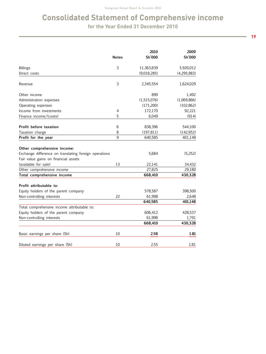# **Consolidated Statement of Comprehensive income**

**for the Year Ended 31 December 2010**

|                                                                                                                                                      | <b>Notes</b>   | 2010<br>Sh'000  | 2009<br>Sh'000    |
|------------------------------------------------------------------------------------------------------------------------------------------------------|----------------|-----------------|-------------------|
| <b>Billings</b>                                                                                                                                      | 3              | 11,363,839      | 5,920,012         |
| Direct costs                                                                                                                                         |                | (9,018,285)     | (4,295,983)       |
| Revenue                                                                                                                                              | 3              | 2,345,554       | 1,624,029         |
| Other income                                                                                                                                         |                | 899             | 1,492             |
| Administration expenses                                                                                                                              |                | (1,515,076)     | (1,069,866)       |
| Operating expenses                                                                                                                                   |                | (171,200)       | (102, 862)        |
| Income from investments                                                                                                                              | $\overline{4}$ | 172,170         | 92,221            |
| Finance income/(costs)                                                                                                                               | 5              | 6,049           | (914)             |
| Profit before taxation                                                                                                                               | 6              | 838,396         | 544,100           |
| Taxation charge                                                                                                                                      | 8              | (197, 811)      | (142, 952)        |
| Profit for the year                                                                                                                                  | 9              | 640,585         | 401,148           |
| Other comprehensive income:<br>Exchange difference on translating foreign operations<br>Fair value gains on financial assets<br>(available for sale) | 13             | 5,684<br>22,141 | (5,252)<br>34,432 |
| Other comprehensive income                                                                                                                           |                | 27,825          | 29,180            |
| Total comprehensive income                                                                                                                           |                | 668,410         | 430,328           |
| Profit attributable to:<br>Equity holders of the parent company                                                                                      |                | 578,587         | 398,500           |
| Non-controlling interests                                                                                                                            | 22             | 61,998          | 2,648             |
|                                                                                                                                                      |                | 640,585         | 401,148           |
| Total comprehensive income attributable to:                                                                                                          |                |                 |                   |
| Equity holders of the parent company                                                                                                                 |                | 606,412         | 428,537           |
| Non-controlling interests                                                                                                                            |                | 61,998          | 1,791             |
|                                                                                                                                                      |                | 668,410         | 430,328           |
| Basic earnings per share (Sh)                                                                                                                        | 10             | 2.58            | 1.81              |
| Diluted earnings per share (Sh)                                                                                                                      | 10             | 2.55            | 1.81              |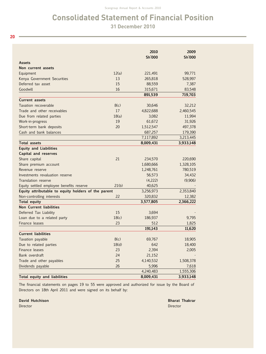# **Consolidated Statement of Financial Position**

**31 December 2010**

**20**

|                                                     |                   | 2010<br>Sh'000 | 2009<br>Sh'000 |
|-----------------------------------------------------|-------------------|----------------|----------------|
| <b>Assets</b>                                       |                   |                |                |
| Non current assets                                  |                   |                |                |
| Equipment                                           | 12(a)             | 221,491        | 99,771         |
| Kenya Government Securities                         | 13                | 265,818        | 528,997        |
| Deferred tax asset                                  | 15                | 88,559         | 7,387          |
| Goodwill                                            | 16                | 315,671        | 83,548         |
|                                                     |                   | 891,539        | 719,703        |
| <b>Current assets</b>                               |                   |                |                |
| Taxation recoverable                                | 8(c)              | 30,646         | 32,212         |
| Trade and other receivables                         | 17                | 4,822,688      | 2,460,545      |
| Due from related parties                            | 18(a)             | 3,082          | 11,994         |
| Work-in-progress                                    | 19                | 61,672         | 31,926         |
| Short-term bank deposits                            | 20                | 1,512,547      | 497,378        |
| Cash and bank balances                              |                   | 687,257        | 179,390        |
|                                                     |                   | 7,117,892      | 3,213,445      |
| <b>Total assets</b>                                 |                   | 8,009,431      | 3,933,148      |
| <b>Equity and Liabilities</b>                       |                   |                |                |
| Capital and reserves                                |                   |                |                |
| Share capital                                       | 21                | 234,570        | 220,690        |
| Share premium account                               |                   | 1,680,666      | 1,328,105      |
| Revenue reserve                                     |                   | 1,248,761      | 780,519        |
| Investments revaluation reserve                     |                   | 56,573         | 34,432         |
| <b>Translation reserve</b>                          |                   | (4,222)        | (9,906)        |
| Equity settled employee benefits reserve            | 21(b)             | 40,625         |                |
| Equity attributable to equity holders of the parent |                   | 3,256,973      | 2,353,840      |
| Non-controlling interests                           | 22                | 320,832        | 12,382         |
| Total equity                                        |                   | 3,577,805      | 2,366,222      |
| Non Current liabilities                             |                   |                |                |
| Deferred Tax Liability                              | 15                | 3,694          |                |
| Loan due to a related party                         | 18 <sub>(c)</sub> | 186,937        | 9,795          |
| Finance leases                                      | 23                | 512            | 1,825          |
|                                                     |                   | 191,143        | 11,620         |
| <b>Current liabilities</b>                          |                   |                |                |
| Taxation payable                                    | 8(c)              | 69,767         | 18,905         |
| Due to related parties                              | 18(d)             | 642            | 18,400         |
| Finance leases                                      | 23                | 2,394          | 2,005          |
| Bank overdraft                                      | 24                | 21,152         |                |
| Trade and other payables                            | 25                | 4,140,532      | 1,508,378      |
| Dividends payable                                   | 26                | 5,996          | 7,618          |
|                                                     |                   | 4,240,483      | 1,555,306      |
| Total equity and liabilities                        |                   | 8,009,431      | 3,933,148      |

The financial statements on pages 19 to 55 were approved and authorized for issue by the Board of Directors on 18th April 2011 and were signed on its behalf by:

Director Director

**David Hutchison Bharat Thakrar**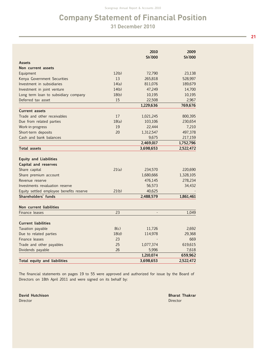# **Company Statement of Financial Position**

**31 December 2010**

|                                          |                 | 2010      | 2009      |
|------------------------------------------|-----------------|-----------|-----------|
| Assets                                   |                 | Sh'000    | Sh'000    |
| Non current assets                       |                 |           |           |
| Equipment                                | 12(b)           | 72,790    | 23,138    |
| Kenya Government Securities              | 13              | 265,818   | 528,997   |
| Investment in subsidiaries               | 14(a)           | 811,076   | 189,679   |
| Investment in joint venture              | 14(b)           | 47,249    | 14,700    |
| Long term loan to subsidiary company     | 18(b)           | 10,195    | 10,195    |
| Deferred tax asset                       | 15              | 22,508    | 2,967     |
|                                          |                 | 1,229,636 | 769,676   |
| <b>Current assets</b>                    |                 |           |           |
| Trade and other receivables              | 17              | 1,021,245 | 800,395   |
| Due from related parties                 | 18(a)           | 103,106   | 230,654   |
| Work-in-progress                         | 19              | 22,444    | 7,210     |
| Short-term deposits                      | 20              | 1,312,547 | 497,378   |
| Cash and bank balances                   |                 | 9,675     | 217,159   |
|                                          |                 | 2,469,017 | 1,752,796 |
| <b>Total assets</b>                      |                 | 3,698,653 | 2,522,472 |
| <b>Equity and Liabilities</b>            |                 |           |           |
| Capital and reserves                     |                 |           |           |
| Share capital                            | 21(a)           | 234,570   | 220,690   |
| Share premium account                    |                 | 1,680,666 | 1,328,105 |
| Revenue reserve                          |                 | 476,145   | 278,234   |
| Investments revaluation reserve          |                 | 56,573    | 34,432    |
| Equity settled employee benefits reserve | 21(b)           | 40,625    |           |
| Shareholders' funds                      |                 | 2,488,579 | 1,861,461 |
| Non current liabilities                  |                 |           |           |
| Finance leases                           | 23              |           | 1,049     |
|                                          |                 |           |           |
| <b>Current liabilities</b>               |                 |           |           |
| Taxation payable                         | 8(c)            | 11,726    | 2,692     |
| Due to related parties                   | 18 <sub>d</sub> | 114,978   | 29,368    |
| Finance leases                           | 23              |           | 669       |
| Trade and other payables                 | 25              | 1,077,374 | 619,615   |
| Dividends payable                        | 26              | 5,996     | 7,618     |
|                                          |                 | 1,210,074 | 659,962   |
| Total equity and liabilities             |                 | 3,698,653 | 2,522,472 |

The financial statements on pages 19 to 55 were approved and authorized for issue by the Board of Directors on 18th April 2011 and were signed on its behalf by:

**David Hutchison Bharat Thakrar** Director Director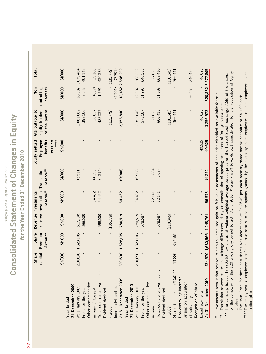Scangroup Annual Report & Accounts 2010 Scangroup Annual Report & Accounts 2010

# **Consolidated Statement of Changes in Equity Consolidated Statement of Changes in Equity**

for the Year Ended 31 December 2010 **for the Year Ended 31 December 2010**

|                                                                                                                                                                                                                                                                                          | Share<br>capital | Share<br>Premium<br>Account | Revenue Investments | reserve revaluation<br>reserve* | Translation<br>reserve** | Equity settled<br>Employee<br>benefits | equity holders<br>of the parent<br>Attributable to                                                   | Non<br>interests<br>controlling | <b>Total</b>      |  |
|------------------------------------------------------------------------------------------------------------------------------------------------------------------------------------------------------------------------------------------------------------------------------------------|------------------|-----------------------------|---------------------|---------------------------------|--------------------------|----------------------------------------|------------------------------------------------------------------------------------------------------|---------------------------------|-------------------|--|
|                                                                                                                                                                                                                                                                                          |                  |                             |                     |                                 |                          | reserve<br>*****                       |                                                                                                      |                                 |                   |  |
|                                                                                                                                                                                                                                                                                          | <b>Sh'000</b>    | Sh'000                      | Sh'000              | Sh'000                          | Sh'000                   | Sh'000                                 | Sh'000                                                                                               | Sh'000                          | Sh'000            |  |
| 31 December 2009<br>Year Ended                                                                                                                                                                                                                                                           |                  |                             |                     |                                 |                          |                                        |                                                                                                      |                                 |                   |  |
| At 1 January 2009                                                                                                                                                                                                                                                                        | 220,690          | 1,328,105                   | 517,798             |                                 | (5, 511)                 |                                        | 2,061,082                                                                                            | 18,382                          | 2,079,464         |  |
| Profit for the year                                                                                                                                                                                                                                                                      |                  |                             | 398,500             |                                 |                          |                                        | 398,500                                                                                              | 2,648                           | 401,148           |  |
| Other comprehensive                                                                                                                                                                                                                                                                      |                  |                             |                     |                                 |                          |                                        |                                                                                                      |                                 |                   |  |
| income / (losses)                                                                                                                                                                                                                                                                        |                  |                             |                     | 34,432                          | (4,395)                  |                                        | 30,037                                                                                               | (857)                           | 29,180            |  |
| Total comprehensive income                                                                                                                                                                                                                                                               |                  |                             | 398,500             | 34,432                          | (4,395)                  | $\mathbf{I}$                           | 428,537                                                                                              | 1,791                           | 430,328           |  |
| Dividend declared                                                                                                                                                                                                                                                                        |                  |                             |                     |                                 |                          |                                        |                                                                                                      |                                 |                   |  |
| $-2008$                                                                                                                                                                                                                                                                                  |                  |                             | (135,779)           |                                 |                          |                                        | (135,779)                                                                                            |                                 | (135, 779)        |  |
| Interim dividend paid                                                                                                                                                                                                                                                                    |                  | T.                          |                     |                                 | $\mathbf{I}$             | $\mathbf{L}$                           |                                                                                                      | (7,791)                         | (7,791)           |  |
| At 31 December 2009                                                                                                                                                                                                                                                                      | 220,690          | 1,328,105                   | 780,519             | 34,432                          | (9.906)                  | $\blacksquare$                         | 2,353,840                                                                                            | 12,382                          | 2,366,222         |  |
| Year Ended                                                                                                                                                                                                                                                                               |                  |                             |                     |                                 |                          |                                        |                                                                                                      |                                 |                   |  |
| 31 December 2010                                                                                                                                                                                                                                                                         |                  |                             |                     |                                 |                          |                                        |                                                                                                      |                                 |                   |  |
| At 1 January 2010                                                                                                                                                                                                                                                                        | 220,690          | 1,328,105                   | 780,519             | 34,432                          | (9,906)                  |                                        | 2,353,840                                                                                            | 12,382                          | 2,366,222         |  |
| Profit for the year                                                                                                                                                                                                                                                                      |                  |                             | 578,587             |                                 |                          | $\mathbf{I}$                           | 578,587                                                                                              | 61,998                          | 640,585           |  |
| Other comprehensive                                                                                                                                                                                                                                                                      |                  |                             |                     |                                 |                          |                                        |                                                                                                      |                                 |                   |  |
| income                                                                                                                                                                                                                                                                                   |                  |                             |                     | 22,141                          | 5,684                    |                                        | 27,825                                                                                               |                                 | 27,825            |  |
| Total comprehensive income                                                                                                                                                                                                                                                               |                  |                             | 578,587             | 22,141                          | 5,684                    |                                        | 606,412                                                                                              | 61,998                          | 668,410           |  |
| Dividend declared                                                                                                                                                                                                                                                                        |                  |                             |                     |                                 |                          |                                        |                                                                                                      |                                 |                   |  |
| $-2009$                                                                                                                                                                                                                                                                                  |                  |                             | (110, 345)          |                                 |                          |                                        | (110, 345)                                                                                           |                                 | (110, 345)        |  |
| Shares issued (note21(a))***                                                                                                                                                                                                                                                             | 13,880           | 352,561                     |                     |                                 |                          |                                        | 366,441                                                                                              |                                 | 366,441           |  |
| Non-controlling interests                                                                                                                                                                                                                                                                |                  |                             |                     |                                 |                          |                                        |                                                                                                      |                                 |                   |  |
| arising on acquisition                                                                                                                                                                                                                                                                   |                  |                             |                     |                                 |                          |                                        |                                                                                                      |                                 |                   |  |
| of subsidiary                                                                                                                                                                                                                                                                            |                  |                             |                     |                                 |                          |                                        |                                                                                                      | 246,452                         | 246,452           |  |
| Recognition of share                                                                                                                                                                                                                                                                     |                  |                             |                     |                                 |                          |                                        |                                                                                                      |                                 |                   |  |
| based payments                                                                                                                                                                                                                                                                           |                  |                             |                     | T.                              | T.                       | 40,625                                 | 40,625                                                                                               |                                 | 40,625            |  |
| At 31 December 2010                                                                                                                                                                                                                                                                      | 234,570          | 1,680,666                   | 1,248.761           | 56,573                          | (4,222)                  | 40,625                                 | 3,256,973                                                                                            |                                 | 320,832 3,577,805 |  |
| Investments revaluation reserve relates to unrealised gain on fair value adjustments of securities classified as available-for-sale.<br>Translation reserve relates to exchange differences arising on consolidation of opening net assets of foreign subsidiaries.<br>$**$              |                  |                             |                     |                                 |                          |                                        |                                                                                                      |                                 |                   |  |
| of the company for the 120 trading day period to 26th April, 2010 ("Issue Price") towards part consideration for the acquisition of Ogilvy<br>The company issued 13,880,369<br>***                                                                                                       |                  |                             |                     |                                 |                          |                                        | new shares at volume weighted average traded price on the Nairobi Stock Exchange (NSE) of the shares |                                 |                   |  |
| Entities.                                                                                                                                                                                                                                                                                |                  |                             |                     |                                 |                          |                                        |                                                                                                      |                                 |                   |  |
| **** The equity settled employee benefits reserve relates to share options granted by the company to its employees under its employee share<br>The Issue Price for these new shares was determined at Sh 26.40 per each ordinary share having par value of Sh 1.00 each.<br>option plan. |                  |                             |                     |                                 |                          |                                        |                                                                                                      |                                 |                   |  |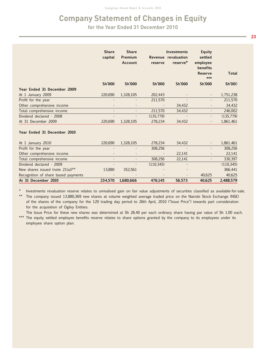# **Company Statement of Changes in Equity**

**for the Year Ended 31 December 2010**

|                             | <b>Share</b><br>capital      | <b>Share</b><br>Premium<br>Account | Revenue<br>reserve       | <b>Investments</b><br>revaluation<br>reserve* | <b>Equity</b><br>settled<br>employee<br>benefits<br><b>Reserve</b><br>*** | <b>Total</b> |
|-----------------------------|------------------------------|------------------------------------|--------------------------|-----------------------------------------------|---------------------------------------------------------------------------|--------------|
|                             | Sh'000                       | Sh'000                             | Sh'000                   | Sh'000                                        | <b>Sh'000</b>                                                             | Sh'000       |
| Year Ended 31 December 2009 |                              |                                    |                          |                                               |                                                                           |              |
| At 1 January 2009           | 220,690                      | 1,328,105                          | 202,443                  |                                               | $\overline{\phantom{a}}$                                                  | 1,751,238    |
| Profit for the year         |                              | $\overline{\phantom{a}}$           | 211,570                  |                                               | -                                                                         | 211,570      |
| Other comprehensive income  | $\overline{\phantom{a}}$     | $\overline{\phantom{a}}$           | $\overline{\phantom{a}}$ | 34,432                                        | $\overline{\phantom{a}}$                                                  | 34,432       |
| Total comprehensive income  | $\qquad \qquad \blacksquare$ | $\overline{\phantom{a}}$           | 211,570                  | 34,432                                        | $\overline{\phantom{a}}$                                                  | 246,002      |
| Dividend declared - 2008    | $\overline{\phantom{0}}$     | $\overline{\phantom{0}}$           | (135,779)                | $\overline{\phantom{0}}$                      | $\overline{\phantom{0}}$                                                  | (135,779)    |
| At 31 December 2009         | 220,690                      | 1,328,105                          | 278,234                  | 34,432                                        | $\overline{\phantom{a}}$                                                  | 1,861,461    |

#### **Year Ended 31 December 2010**

| 234.570                  | 1,680,666 | 476,145                  | 56,573                   | 40,625                   | 2,488,579  |
|--------------------------|-----------|--------------------------|--------------------------|--------------------------|------------|
|                          |           | $\overline{\phantom{0}}$ | -                        | 40.625                   | 40,625     |
| 13.880                   | 352.561   |                          | $\overline{\phantom{0}}$ |                          | 366,441    |
| $\overline{\phantom{a}}$ |           | (110, 345)               | $\overline{\phantom{0}}$ |                          | (110, 345) |
| $\overline{\phantom{0}}$ |           | 308.256                  | 22.141                   |                          | 330,397    |
| $\overline{\phantom{0}}$ |           | $\overline{\phantom{a}}$ | 22,141                   | -                        | 22,141     |
|                          |           | 308,256                  |                          |                          | 308,256    |
| 220,690                  | 1.328.105 | 278,234                  | 34,432                   | $\overline{\phantom{0}}$ | 1,861,461  |
|                          |           |                          |                          |                          |            |

\* Investments revaluation reserve relates to unrealised gain on fair value adjustments of securities classified as available-for-sale.

\*\* The company issued 13,880,369 new shares at volume weighted average traded price on the Nairobi Stock Exchange (NSE) of the shares of the company for the 120 trading day period to 26th April, 2010 ("Issue Price") towards part consideration for the acquisition of Ogilvy Entities.

The Issue Price for these new shares was determined at Sh 26.40 per each ordinary share having par value of Sh 1.00 each. \*\*\* The equity settled employee benefits reserve relates to share options granted by the company to its employees under its employee share option plan.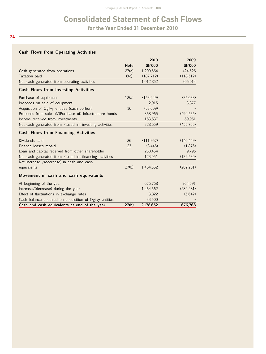# **Consolidated Statement of Cash Flows**

**for the Year Ended 31 December 2010**

#### **24**

#### **Cash Flows from Operating Activities**

|                                                          |             | 2010      | 2009       |
|----------------------------------------------------------|-------------|-----------|------------|
|                                                          | <b>Note</b> | Sh'000    | Sh'000     |
| Cash generated from operations                           | 27(a)       | 1,200,564 | 424,526    |
| <b>Taxation paid</b>                                     | 8(c)        | (187,712) | (118,512)  |
| Net cash generated from operating activities             |             | 1,012,852 | 306,014    |
| <b>Cash Flows from Investing Activities</b>              |             |           |            |
| Purchase of equipment                                    | 12(a)       | (153,249) | (35,038)   |
| Proceeds on sale of equipment                            |             | 2,915     | 3,877      |
| Acquisition of Ogilvy entities (cash portion)            | 16          | (53,609)  |            |
| Proceeds from sale of/(Purchase of) infrastructure bonds |             | 368,965   | (494, 565) |
| Income received from investments                         |             | 163,637   | 69,961     |
| Net cash generated from / (used in) investing activities |             | 328,659   | (455, 765) |
| <b>Cash Flows from Financing Activities</b>              |             |           |            |
| Dividends paid                                           | 26          | (111,967) | (140, 449) |
| Finance leases repaid                                    | 23          | (3,446)   | (1,876)    |
| Loan and capital received from other shareholder         |             | 238,464   | 9,795      |
| Net cash generated from /(used in) financing activities  |             | 123,051   | (132, 530) |
| Net increase / (decrease) in cash and cash               |             |           |            |
| equivalents                                              | 27(b)       | 1,464,562 | (282, 281) |
| Movement in cash and cash equivalents                    |             |           |            |
| At beginning of the year                                 |             | 676,768   | 964,691    |
| Increase/(decrease) during the year                      |             | 1,464,562 | (282, 281) |
| Effect of fluctuations in exchange rates                 |             | 3,822     | (5,642)    |
| Cash balance acquired on acquisition of Ogilvy entities  |             | 33,500    |            |
| Cash and cash equivalents at end of the year             | 27(b)       | 2,178,652 | 676,768    |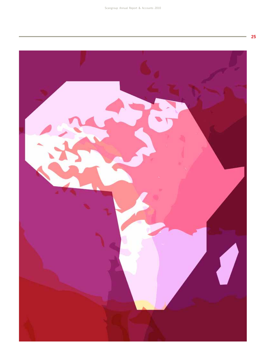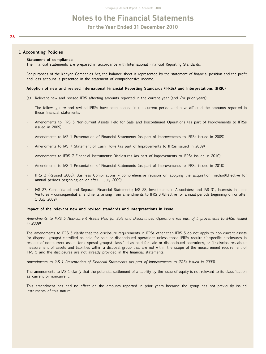# **Notes to the Financial Statements**

**for the Year Ended 31 December 2010**

**26**

#### **1 Accounting Policies**

#### **Statement of compliance**

The financial statements are prepared in accordance with International Financial Reporting Standards.

 For purposes of the Kenyan Companies Act, the balance sheet is represented by the statement of financial position and the profit and loss account is presented in the statement of comprehensive income.

#### **Adoption of new and revised International Financial Reporting Standards (IFRSs) and Interpretations (IFRIC)**

(a) Relevant new and revised IFRS affecting amounts reported in the current year (and /or prior years)

 The following new and revised IFRSs have been applied in the current period and have affected the amounts reported in these financial statements.

- Amendments to IFRS 5 Non-current Assets Held for Sale and Discontinued Operations (as part of Improvements to IFRSs issued in 2009)
- Amendments to IAS 1 Presentation of Financial Statements (as part of Improvements to IFRSs issued in 2009)
- Amendments to IAS 7 Statement of Cash Flows (as part of Improvements to IFRSs issued in 2009)
- Amendments to IFRS 7 Financial Instruments: Disclosures (as part of Improvements to IFRSs issued in 2010)
- Amendments to IAS 1 Presentation of Financial Statements (as part of Improvements to IFRSs issued in 2010)
- IFRS 3 (Revised 2008), Business Combinations comprehensive revision on applying the acquisition method(Effective for annual periods beginning on or after 1 July 2009)
- IAS 27, Consolidated and Separate Financial Statements; IAS 28, Investments in Associates; and IAS 31, Interests in Joint Ventures – consequential amendments arising from amendments to IFRS 3 (Effective for annual periods beginning on or after 1 July 2009).

#### **Impact of the relevant new and revised standards and interpretations in issue**

 *Amendments to IFRS 5 Non-current Assets Held for Sale and Discontinued Operations (as part of Improvements to IFRSs issued in 2009)*

 The amendments to IFRS 5 clarify that the disclosure requirements in IFRSs other than IFRS 5 do not apply to non-current assets (or disposal groups) classified as held for sale or discontinued operations unless those IFRSs require (i) specific disclosures in respect of non-current assets (or disposal groups) classified as held for sale or discontinued operations, or (ii) disclosures about measurement of assets and liabilities within a disposal group that are not within the scope of the measurement requirement of IFRS 5 and the disclosures are not already provided in the financial statements.

*Amendments to IAS 1 Presentation of Financial Statements (as part of Improvements to IFRSs issued in 2009)*

 The amendments to IAS 1 clarify that the potential settlement of a liability by the issue of equity is not relevant to its classification as current or noncurrent.

 This amendment has had no effect on the amounts reported in prior years because the group has not previously issued instruments of this nature.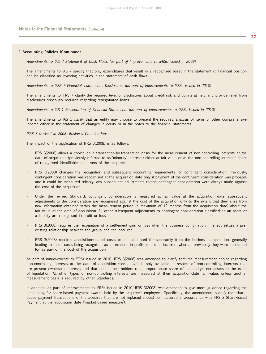#### **1 Accounting Policies (Continued)**

*Amendments to IAS 7 Statement of Cash Flows (as part of Improvements to IFRSs issued in 2009)*

 The amendments to IAS 7 specify that only expenditures that result in a recognised asset in the statement of financial position can be classified as investing activities in the statement of cash flows.

*Amendments to IFRS 7 Financial Instruments: Disclosures (as part of Improvements to IFRSs issued in 2010)*

 The amendments to IFRS 7 clarify the required level of disclosures about credit risk and collateral held and provide relief from disclosures previously required regarding renegotiated loans.

*Amendments to IAS 1 Presentation of Financial Statements (as part of Improvements to IFRSs issued in 2010)*

 The amendments to IAS 1 clarify that an entity may choose to present the required analysis of items of other comprehensive income either in the statement of changes in equity or in the notes to the financial statements

*IFRS 3 (revised in 2008) Business Combinations*

The impact of the application of IFRS 3(2008) is as follows.

- IFRS 3(2008) allows a choice on a transaction-by-transaction basis for the measurement of non-controlling interests at the date of acquisition (previously referred to as 'minority' interests) either at fair value or at the non-controlling interests' share of recognised identifiable net assets of the acquiree.
- IFRS 3(2008) changes the recognition and subsequent accounting requirements for contingent consideration. Previously, contingent consideration was recognised at the acquisition date only if payment of the contingent consideration was probable and it could be measured reliably; any subsequent adjustments to the contingent consideration were always made against the cost of the acquisition.
- Under the revised Standard, contingent consideration is measured at fair value at the acquisition date; subsequent adjustments to the consideration are recognised against the cost of the acquisition only to the extent that they arise from new information obtained within the measurement period (a maximum of 12 months from the acquisition date) about the fair value at the date of acquisition. All other subsequent adjustments to contingent consideration classified as an asset or a liability are recognised in profit or loss.
- IFRS 3(2008) requires the recognition of a settlement gain or loss when the business combination in effect settles a preexisting relationship between the group and the acquiree.
- IFRS 3(2008) requires acquisition-related costs to be accounted for separately from the business combination, generally leading to those costs being recognised as an expense in profit or loss as incurred, whereas previously they were accounted for as part of the cost of the acquisition.

 As part of *Improvements to IFRSs* issued in 2010, IFRS 3(2008) was amended to clarify that the measurement choice regarding non-controlling interests at the date of acquisition (see above) is only available in respect of non-controlling interests that are present ownership interests and that entitle their holders to a proportionate share of the entity's net assets in the event of liquidation. All other types of non-controlling interests are measured at their acquisition-date fair value, unless another measurement basis is required by other Standards.

In addition, as part of Improvements to IFRSs issued in 2010, IFRS 3(2008) was amended to give more guidance regarding the accounting for share-based payment awards held by the acquiree's employees. Specifically, the amendments specify that sharebased payment transactions of the acquiree that are not replaced should be measured in accordance with IFRS 2 Share-based Payment at the acquisition date ('market-based measure').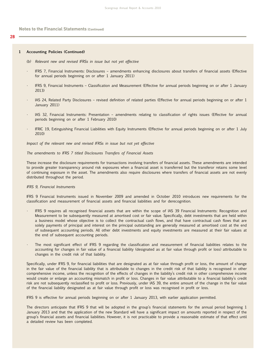#### **28**

#### **1 Accounting Policies (Continued)**

- *(b) Relevant new and revised IFRSs in issue but not yet effective*
- IFRS 7, Financial Instruments: Disclosures amendments enhancing disclosures about transfers of financial assets (Effective for annual periods beginning on or after 1 January 2011)
- IFRS 9, Financial Instruments Classification and Measurement (Effective for annual periods beginning on or after 1 January 2013)
- IAS 24, Related Party Disclosures revised definition of related parties (Effective for annual periods beginning on or after 1 January 2011)
- IAS 32, Financial Instruments: Presentation amendments relating to classification of rights issues (Effective for annual periods beginning on or after 1 February 2010)
- IFRIC 19, Extinguishing Financial Liabilities with Equity Instruments (Effective for annual periods beginning on or after 1 July 2010)

*Impact of the relevant new and revised IFRSs in issue but not yet effective*

#### *The amendments to IFRS 7 titled Disclosures Transfers of Financial Assets*

 These increase the disclosure requirements for transactions involving transfers of financial assets. These amendments are intended to provide greater transparency around risk exposures when a financial asset is transferred but the transferor retains some level of continuing exposure in the asset. The amendments also require disclosures where transfers of financial assets are not evenly distributed throughout the period.

#### *IFRS 9, Financial Instruments*

 IFRS 9 Financial Instruments issued in November 2009 and amended in October 2010 introduces new requirements for the classification and measurement of financial assets and financial liabilities and for derecognition.

- IFRS 9 requires all recognised financial assets that are within the scope of IAS 39 Financial Instruments: Recognition and Measurement to be subsequently measured at amortised cost or fair value. Specifically, debt investments that are held within a business model whose objective is to collect the contractual cash flows, and that have contractual cash flows that are solely payments of principal and interest on the principal outstanding are generally measured at amortised cost at the end of subsequent accounting periods. All other debt investments and equity investments are measured at their fair values at the end of subsequent accounting periods.
- The most significant effect of IFRS 9 regarding the classification and measurement of financial liabilities relates to the accounting for changes in fair value of a financial liability (designated as at fair value through profit or loss) attributable to changes in the credit risk of that liability.

 Specifically, under IFRS 9, for financial liabilities that are designated as at fair value through profit or loss, the amount of change in the fair value of the financial liability that is attributable to changes in the credit risk of that liability is recognised in other comprehensive income, unless the recognition of the effects of changes in the liability's credit risk in other comprehensive income would create or enlarge an accounting mismatch in profit or loss. Changes in fair value attributable to a financial liability's credit risk are not subsequently reclassified to profit or loss. Previously, under IAS 39, the entire amount of the change in the fair value of the financial liability designated as at fair value through profit or loss was recognised in profit or loss.

IFRS 9 is effective for annual periods beginning on or after 1 January 2013, with earlier application permitted.

 The directors anticipate that IFRS 9 that will be adopted in the group's financial statements for the annual period beginning 1 January 2013 and that the application of the new Standard will have a significant impact on amounts reported in respect of the group's financial assets and financial liabilities. However, it is not practicable to provide a reasonable estimate of that effect until a detailed review has been completed.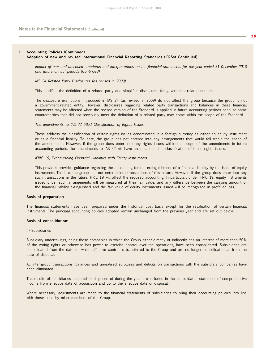#### **29**

#### **1 Accounting Policies (Continued) Adoption of new and revised International Financial Reporting Standards (IFRSs) Continued)**

 *Impact of new and amended standards and interpretations on the financial statements for the year ended 31 December 2010 and future annual periods (Continued)*

*IAS 24 Related Party Disclosures (as revised in 2009)*

This modifies the definition of a related party and simplifies disclosures for government-related entities.

 The disclosure exemptions introduced in IAS 24 (as revised in 2009) do not affect the group because the group is not a government-related entity. However, disclosures regarding related party transactions and balances in these financial statements may be affected when the revised version of the Standard is applied in future accounting periods because some counterparties that did not previously meet the definition of a related party may come within the scope of the Standard.

#### *The amendments to IAS 32 titled Classification of Rights Issues*

 These address the classification of certain rights issues denominated in a foreign currency as either an equity instrument or as a financial liability. To date, the group has not entered into any arrangements that would fall within the scope of the amendments. However, if the group does enter into any rights issues within the scope of the amendments in future accounting periods, the amendments to IAS 32 will have an impact on the classification of those rights issues.

#### *IFRIC 19, Extinguishing Financial Liabilities with Equity Instruments*

 This provides provides guidance regarding the accounting for the extinguishment of a financial liability by the issue of equity instruments. To date, the group has not entered into transactions of this nature. However, if the group does enter into any such transactions in the future, IFRIC 19 will affect the required accounting. In particular, under IFRIC 19, equity instruments issued under such arrangements will be measured at their fair value, and any difference between the carrying amount of the financial liability extinguished and the fair value of equity instruments issued will be recognised in profit or loss.

#### **Basis of preparation**

 The financial statements have been prepared under the historical cost basis except for the revaluation of certain financial instruments. The principal accounting policies adopted remain unchanged from the previous year and are set out below:

#### **Basis of consolidation:**

#### (i) Subsidiaries

 Subsidiary undertakings, being those companies in which the Group either directly or indirectly has an interest of more than 50% of the voting rights or otherwise has power to exercise control over the operations, have been consolidated. Subsidiaries are consolidated from the date on which effective control is transferred to the Group and are no longer consolidated as from the date of disposal.

 All inter-group transactions, balances and unrealised surpluses and deficits on transactions with the subsidiary companies have been eliminated.

 The results of subsidiaries acquired or disposed of during the year are included in the consolidated statement of comprehensive income from effective date of acquisition and up to the effective date of disposal.

 Where necessary, adjustments are made to the financial statements of subsidiaries to bring their accounting policies into line with those used by other members of the Group.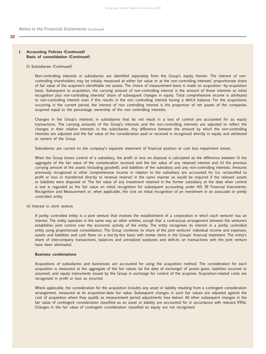#### **30**

#### **1 Accounting Policies (Continued) Basis of consolidation (Continued)**

#### (i) Subsidiaries (Continued)

 Non-controlling interests in subsidiaries are identified separately from the Group's equity therein. The interest of noncontrolling shareholders may be initially measured at either fair value or at the non-controlling interests' proportionate share of fair value of the acquiree's identifiable net assets. The choice of measurement basis is made on acquisition –by-acquisition basis. Subsequent to acquisition, the carrying amount of non-controlling interest is the amount of those interests at initial recognition plus non-controlling interests' share of subsequent changes in equity. Total comprehensive income is attributed to non-controlling interest even if this results in the non controlling interest having a deficit balance. For the acquisitions occurring in the current period, the interest of non controlling interest is the proportion of net assets of the companies acquired equal to the percentage ownership of the non controlling interests.

 Changes in the Group's interests in subsidiaries that do not result in a loss of control are accounted for as equity transactions. The carrying amounts of the Group's interests and the non-controlling interests are adjusted to reflect the changes in their relative interests in the subsidiaries. Any difference between the amount by which the non-controlling interests are adjusted and the fair value of the consideration paid or received is recognised directly in equity and attributed to owners of the Group.

Subsidiaries are carried on the company's separate statement of financial position at cost less impairment losses.

 When the Group losses control of a subsidiary, the profit or loss on disposal is calculated as the difference between (i) the aggregate of the fair value of the consideration received and the fair value of any retained interest and (ii) the previous carrying amount of the assets (including goodwill), and liabilities of the subsidiary and any non-controlling interests. Amounts previously recognised in other comprehensive income in relation to the subsidiary are accounted for (i.e. reclassified to profit or loss or transferred directly to revenue reserve) in the same manner as would be required if the relevant assets or liabilities were disposed of. The fair value of any investment retained in the former subsidiary at the date when control is lost is regarded as the fair value on initial recognition for subsequent accounting under IAS 39 Financial Instruments: Recognition and Measurement or, when applicable, the cost on initial recognition of an investment in an associate or jointly controlled entity

#### (ii) Interest in Joint venture

 A jointly controlled entity is a joint venture that involves the establishment of a corporation in which each venturer has an interest. The entity operates in the same way as other entities, except that a contractual arrangement between the venturers establishes joint control over the economic activity of the entity. The entity recognises its interest in a jointly controlled entity using proportionate consolidation. The Group combines its share of the joint ventures' individual income and expenses, assets and liabilities and cash flows on a line-by-line basis with similar items in the Groups' financial statement. The entity's share of intercompany transactions, balances and unrealised surpluses and deficits on transactions with the joint venture have been eliminated.

#### **Business combinations**

 Acquisitions of subsidiaries and businesses are accounted for using the acquisition method. The consideration for each acquisition is measured at the aggregate of the fair values (at the date of exchange) of assets given, liabilities incurred or assumed, and equity instruments issued by the Group in exchange for control of the acquiree. Acquisition-related costs are recognised in profit or loss as incurred.

 Where applicable, the consideration for the acquisition includes any asset or liability resulting from a contingent consideration arrangement, measured at its acquisition-date fair value. Subsequent changes in such fair values are adjusted against the cost of acquisition where they qualify as measurement period adjustments (see below). All other subsequent changes in the fair value of contingent consideration classified as an asset or liability are accounted for in accordance with relevant IFRSs. Changes in the fair value of contingent consideration classified as equity are not recognised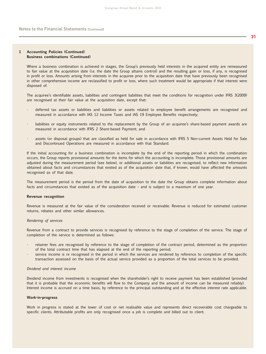#### **1 Accounting Policies (Continued**) **Business combinations (Continued**)

 Where a business combination is achieved in stages, the Group's previously held interests in the acquired entity are remeasured to fair value at the acquisition date (i.e. the date the Group attains control) and the resulting gain or loss, if any, is recognised in profit or loss. Amounts arising from interests in the acquiree prior to the acquisition date that have previously been recognised in other comprehensive income are reclassified to profit or loss, where such treatment would be appropriate if that interest were disposed of.

 The acquiree's identifiable assets, liabilities and contingent liabilities that meet the conditions for recognition under IFRS 3(2009) are recognised at their fair value at the acquisition date, except that:

- deferred tax assets or liabilities and liabilities or assets related to employee benefit arrangements are recognised and measured in accordance with IAS 12 Income Taxes and IAS 19 Employee Benefits respectively;
- liabilities or equity instruments related to the replacement by the Group of an acquiree's share-based payment awards are measured in accordance with IFRS 2 Share-based Payment; and
- assets (or disposal groups) that are classified as held for sale in accordance with IFRS 5 Non-current Assets Held for Sale and Discontinued Operations are measured in accordance with that Standard.

 If the initial accounting for a business combination is incomplete by the end of the reporting period in which the combination occurs, the Group reports provisional amounts for the items for which the accounting is incomplete. Those provisional amounts are adjusted during the measurement period (see below), or additional assets or liabilities are recognised, to reflect new information obtained about facts and circumstances that existed as of the acquisition date that, if known, would have affected the amounts recognised as of that date.

 The measurement period is the period from the date of acquisition to the date the Group obtains complete information about facts and circumstances that existed as of the acquisition date – and is subject to a maximum of one year.

#### **Revenue recognition**

 Revenue is measured at the fair value of the consideration received or receivable. Revenue is reduced for estimated customer returns, rebates and other similar allowances.

#### *Rendering of services*

 Revenue from a contract to provide services is recognised by reference to the stage of completion of the service. The stage of completion of the service is determined as follows:

- retainer fees are recognised by reference to the stage of completion of the contract period, determined as the proportion of the total contract time that has elapsed at the end of the reporting period;
- service income is re recognised in the period in which the services are rendered by reference to completion of the specific transaction assessed on the basis of the actual service provided as a proportion of the total services to be provided.

#### *Dividend and interest income*

 Dividend income from investments is recognised when the shareholder's right to receive payment has been established (provided that it is probable that the economic benefits will flow to the Company and the amount of income can be measured reliably). Interest income is accrued on a time basis, by reference to the principal outstanding and at the effective interest rate applicable.

#### **Work-in-progress**

 Work in progress is stated at the lower of cost or net realisable value and represents direct recoverable cost chargeable to specific clients. Attributable profits are only recognised once a job is complete and billed out to client.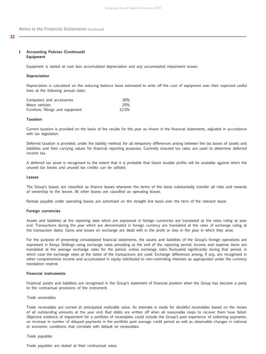#### **32**

#### **1 Accounting Policies (Continued) Equipment**

Equipment is stated at cost less accumulated depreciation and any accumulated impairment losses.

#### **Depreciation**

 Depreciation is calculated on the reducing balance basis estimated to write off the cost of equipment over their expected useful lives at the following annual rates:

| Computers and accessories         | 30%   |
|-----------------------------------|-------|
| Motor vehicles                    | 25%   |
| Furniture, fittings and equipment | 12.5% |

#### **Taxation**

 Current taxation is provided on the basis of the results for the year as shown in the financial statements, adjusted in accordance with tax legislation.

 Deferred taxation is provided, under the liability method, for all temporary differences arising between the tax bases of assets and liabilities and their carrying values for financial reporting purposes. Currently enacted tax rates are used to determine deferred income tax.

 A deferred tax asset is recognised to the extent that it is probable that future taxable profits will be available against which the unused tax losses and unused tax credits can be utilised.

#### **Leases**

 The Group's leases are classified as finance leases whenever the terms of the lease substantially transfer all risks and rewards of ownership to the lessee. All other leases are classified as operating leases.

Rentals payable under operating leases are amortised on the straight line basis over the term of the relevant lease.

#### **Foreign currencies**

 Assets and liabilities at the reporting date which are expressed in foreign currencies are translated at the rates ruling at year end. Transactions during the year which are denominated in foreign currency are translated at the rates of exchange ruling at the transaction dates. Gains and losses on exchange are dealt with in the profit or loss in the year in which they arise.

 For the purpose of presenting consolidated financial statements, the assets and liabilities of the Group's foreign operations are expressed in Kenya Shillings using exchange rates prevailing at the end of the reporting period. Income and expense items are translated at the average exchange rates for the period, unless exchange rates fluctuated significantly during that period, in which case the exchange rates at the dates of the transactions are used. Exchange differences arising, if any, are recognised in other comprehensive income and accumulated in equity (attributed to non-controlling interests as appropriate) under the currency translation reserve.

#### **Financial instruments**

 Financial assets and liabilities are recognised in the Group's statement of financial position when the Group has become a party to the contractual provisions of the instrument.

#### *Trade receivables*

 Trade receivables are carried at anticipated realisable value. An estimate is made for doubtful receivables based on the review of all outstanding amounts at the year end. Bad debts are written off when all reasonable steps to recover them have failed. Objective evidence of impairment for a portfolio of receivables could include the Group's past experience of collecting payments, an increase in number of delayed payments in the portfolio past average credit period as well as observable changes in national or economic conditions that correlate with default on receivables.

#### *Trade payables*

Trade payables are stated at their contractual value.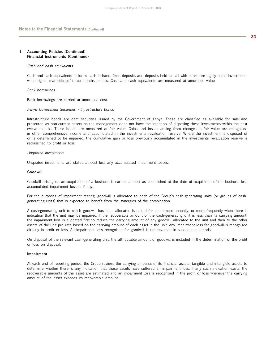#### **1 Accounting Policies (Continued) Financial instruments (Continued)**

#### *Cash and cash equivalents*

 Cash and cash equivalents includes cash in hand, fixed deposits and deposits held at call with banks are highly liquid investments with original maturities of three months or less. Cash and cash equivalents are measured at amortised value.

#### *Bank borrowings*

Bank borrowings are carried at amortised cost.

#### *Kenya Government Securities - Infrastructure bond*s

 Infrastructure bonds are debt securities issued by the Government of Kenya. These are classified as available for sale and presented as non-current assets as the management does not have the intention of disposing these investments within the next twelve months. These bonds are measured at fair value. Gains and losses arising from changes in fair value are recognised in other comprehensive income and accumulated in the investments revaluation reserve. Where the investment is disposed of or is determined to be impaired, the cumulative gain or loss previously accumulated in the investments revaluation reserve is reclassified to profit or loss.

#### *Unquoted investments*

Unquoted investments are stated at cost less any accumulated impairment losses.

#### **Goodwill**

 Goodwill arising on an acquisition of a business is carried at cost as established at the date of acquisition of the business less accumulated impairment losses, if any.

 For the purposes of impairment testing, goodwill is allocated to each of the Group's cash-generating units (or groups of cashgenerating units) that is expected to benefit from the synergies of the combination.

 A cash-generating unit to which goodwill has been allocated is tested for impairment annually, or more frequently when there is indication that the unit may be impaired. If the recoverable amount of the cash-generating unit is less than its carrying amount, the impairment loss is allocated first to reduce the carrying amount of any goodwill allocated to the unit and then to the other assets of the unit pro rata based on the carrying amount of each asset in the unit. Any impairment loss for goodwill is recognised directly in profit or loss. An impairment loss recognised for goodwill is not reversed in subsequent periods.

 On disposal of the relevant cash-generating unit, the attributable amount of goodwill is included in the determination of the profit or loss on disposal.

#### **Impairment**

 At each end of reporting period, the Group reviews the carrying amounts of its financial assets, tangible and intangible assets to determine whether there is any indication that those assets have suffered an impairment loss. If any such indication exists, the recoverable amounts of the asset are estimated and an impairment loss is recognised in the profit or loss whenever the carrying amount of the asset exceeds its recoverable amount.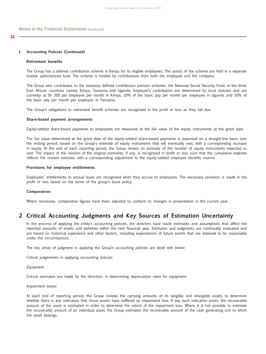#### **34**

#### **1 Accounting Policies (Continued)**

#### **Retirement benefits**

 The Group has a defined contribution scheme in Kenya for its eligible employees. The assets of the scheme are held in a separate trustee administered fund. The scheme is funded by contributions from both the employee and the company.

 The Group also contributes to the statutory defined contribution pension schemes, the National Social Security Fund, in the three East African countries namely Kenya, Tanzania and Uganda. Employer's contribution are determined by local statutes and are currently at Sh 200 per employee per month in Kenya, 10% of the basic pay per month per employee in Uganda and 10% of the basic pay per month per employee in Tanzania.

The Group's obligations to retirement benefit schemes are recognised in the profit or loss as they fall due.

#### **Share-based payment arrangements**

Equity-settled share-based payments to employees are measured at the fair value of the equity instruments at the grant date.

 The fair value determined at the grant date of the equity-settled share-based payments is expensed on a straight-line basis over the vesting period, based on the Group's estimate of equity instruments that will eventually vest, with a corresponding increase in equity. At the end of each reporting period, the Group revises its estimate of the number of equity instruments expected to vest. The impact of the revision of the original estimates, if any, is recognised in profit or loss such that the cumulative expense reflects the revised estimate, with a corresponding adjustment to the equity-settled employee benefits reserve.

#### **Provisions for employee entitlements**

 Employees' entitlements to annual leave are recognised when they accrue to employees. The necessary provision is made in the profit or loss based on the terms of the group's leave policy.

#### **Comparative**s

Where necessary, comparative figures have been adjusted to conform to changes in presentation in the current year.

#### **2 Critical Accounting Judgments and Key Sources of Estimation Uncertainty**

 In the process of applying the entity's accounting policies, the directors have made estimates and assumptions that affect the reported amounts of assets and liabilities within the next financial year. Estimates and judgments are continually evaluated and are based on historical experience and other factors, including expectations of future events that are believed to be reasonable under the circumstances.

The key areas of judgment in applying the Group's accounting policies are dealt with below:

Critical judgements in applying accounting policies

#### *Equipment*

Critical estimates are made by the directors, in determining depreciation rates for equipment.

#### *Impairment losses*

 At each end of reporting period, the Group reviews the carrying amounts of its tangible and intangible assets to determine whether there is any indication that those assets have suffered an impairment loss. If any such indication exists, the recoverable amount of the asset is estimated in order to determine the extent of the impairment loss. Where it is not possible to estimate the recoverable amount of an individual asset, the Group estimates the recoverable amount of the cash generating unit to which the asset belongs.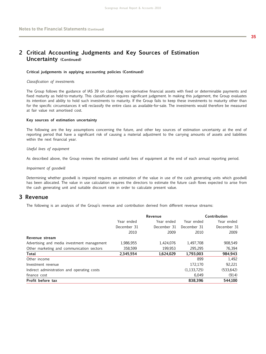#### **2 Critical Accounting Judgments and Key Sources of Estimation Uncertainty (Continued)**

#### **Critical judgements in applying accounting policies (Continued)**

#### *Classification of investment*s

 The Group follows the guidance of IAS 39 on classifying non-derivative financial assets with fixed or determinable payments and fixed maturity as held-to-maturity. This classification requires significant judgement. In making this judgement, the Group evaluates its intention and ability to hold such investments to maturity. If the Group fails to keep these investments to maturity other than for the specific circumstances it will reclassify the entire class as available-for-sale. The investments would therefore be measured at fair value not amortised cost.

#### **Key sources of estimation uncertainty**

 The following are the key assumptions concerning the future, and other key sources of estimation uncertainty at the end of reporting period that have a significant risk of causing a material adjustment to the carrying amounts of assets and liabilities within the next financial year.

#### *Useful lives of equipment*

As described above, the Group reviews the estimated useful lives of equipment at the end of each annual reporting period.

#### *Impairment of goodwill*

 Determining whether goodwill is impaired requires an estimation of the value in use of the cash generating units which goodwill has been allocated. The value in use calculation requires the directors to estimate the future cash flows expected to arise from the cash generating unit and suitable discount rate in order to calculate present value.

#### **3 Revenue**

The following is an analysis of the Group's revenue and contribution derived from different revenue streams:

|                                             |             | Revenue     |               | Contribution |  |  |
|---------------------------------------------|-------------|-------------|---------------|--------------|--|--|
|                                             | Year ended  | Year ended  | Year ended    | Year ended   |  |  |
|                                             | December 31 | December 31 | December 31   | December 31  |  |  |
|                                             | 2010        | 2009        | 2010          | 2009         |  |  |
| Revenue stream                              |             |             |               |              |  |  |
| Advertising and media investment management | 1,986,955   | 1,424,076   | 1,497,708     | 908,549      |  |  |
| Other marketing and communication sectors   | 358,599     | 199.953     | 295.295       | 76,394       |  |  |
| Total                                       | 2,345,554   | 1,624,029   | 1,793,003     | 984,943      |  |  |
| Other income                                |             |             | 899           | 1,492        |  |  |
| Investment revenue                          |             |             | 172,170       | 92.221       |  |  |
| Indirect administration and operating costs |             |             | (1, 133, 725) | (533, 642)   |  |  |
| finance cost                                |             |             | 6.049         | (914)        |  |  |
| Profit before tax                           |             |             | 838.396       | 544.100      |  |  |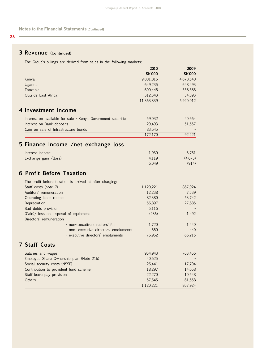**36**

Î.

#### **3 Revenue (Continued)**

The Group's billings are derived from sales in the following markets:

|                                                              | 2010       | 2009      |
|--------------------------------------------------------------|------------|-----------|
|                                                              | Sh'000     | Sh'000    |
| Kenya                                                        | 9,801,815  | 4,678,540 |
| Uganda                                                       | 649,235    | 648,493   |
| Tanzania                                                     | 600,446    | 558,586   |
| Outside East Africa                                          | 312,343    | 34,393    |
|                                                              | 11,363,839 | 5,920,012 |
| 4 Investment Income                                          |            |           |
| Interest on available for sale - Kenya Government securities | 59,032     | 40,664    |
| Interest on Bank deposits                                    | 29,493     | 51,557    |
| Gain on sale of Infrastructure bonds                         | 83,645     |           |
|                                                              | 172,170    | 92,221    |
| 5 Finance Income /net exchange loss                          |            |           |
| Interest income                                              | 1,930      | 3,761     |
| Exchange gain /(loss)                                        | 4,119      | (4,675)   |
|                                                              | 6,049      | (914)     |
| <b>6 Profit Before Taxation</b>                              |            |           |
| The profit before taxation is arrived at after charging:     |            |           |
| Staff costs (note 7)                                         | 1,120,221  | 867,924   |
| Auditors' remuneration                                       | 12,238     | 7,539     |
| Operating lease rentals                                      | 82,380     | 53,742    |
| Depreciation                                                 | 56,897     | 27,685    |
| Bad debts provision                                          | 5,116      |           |
| (Gain)/ loss on disposal of equipment                        | (236)      | 1,492     |
| Directors' remuneration                                      |            |           |
| - non-executive directors' fee                               | 1,720      | 1,440     |
| - non- executive directors' emoluments                       | 660        | 440       |
| - executive directors' emoluments                            | 76,962     | 66,215    |
| <b>7 Staff Costs</b>                                         |            |           |
| Salaries and wages                                           | 954,943    | 763,456   |
| Employee Share Ownership plan (Note 21b)                     | 40,625     |           |
| Social security costs (NSSF)                                 | 26,441     | 17,704    |
| Contribution to provident fund scheme                        | 18,297     | 14,658    |
| Staff leave pay provision                                    | 22,270     | 10,548    |
| Others                                                       | 57,645     | 61,558    |
|                                                              | 1,120,221  | 867,924   |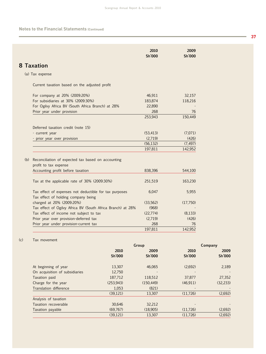|     |                                                                                               | 2010<br><b>Sh'000</b> | 2009<br>Sh'000 |         |
|-----|-----------------------------------------------------------------------------------------------|-----------------------|----------------|---------|
|     | <b>8 Taxation</b>                                                                             |                       |                |         |
|     | (a) Tax expense                                                                               |                       |                |         |
|     | Current taxation based on the adjusted profit                                                 |                       |                |         |
|     | For company at 20% (2009:20%)                                                                 | 46,911                | 32,157         |         |
|     | For subsidiaries at 30% (2009:30%)                                                            | 183,874               | 118,216        |         |
|     | For Ogilvy Africa BV (South Africa Branch) at 28%                                             | 22,890                |                |         |
|     | Prior year under provision                                                                    | 268                   | 76             |         |
|     |                                                                                               | 253,943               | 150,449        |         |
|     | Deferred taxation credit (note 15)                                                            |                       |                |         |
|     | - current year                                                                                | (53, 413)             | (7,071)        |         |
|     | - prior year over provision                                                                   | (2,719)               | (426)          |         |
|     |                                                                                               | (56, 132)             | (7, 497)       |         |
|     |                                                                                               | 197,811               | 142,952        |         |
|     | Reconciliation of expected tax based on accounting<br>(b)                                     |                       |                |         |
|     | profit to tax expense                                                                         |                       |                |         |
|     | Accounting profit before taxation                                                             | 838,396               | 544,100        |         |
|     |                                                                                               |                       |                |         |
|     | Tax at the applicable rate of 30% (2009:30%)                                                  | 251,519               | 163,230        |         |
|     | Tax effect of expenses not deductible for tax purposes<br>Tax effect of holding company being | 6,047                 | 5,955          |         |
|     | charged at 20% (2009:20%)                                                                     | (33, 562)             | (17,750)       |         |
|     | Tax effect of Ogilvy Africa BV (South Africa Branch) at 28%                                   | (968)                 |                |         |
|     | Tax effect of income not subject to tax                                                       | (22,774)              | (8, 133)       |         |
|     | Prior year over provision-deferred tax                                                        | (2,719)               | (426)          |         |
|     | Prior year under provision-current tax                                                        | 268                   | 76             |         |
|     |                                                                                               | 197,811               | 142,952        |         |
| (c) | Tax movement                                                                                  |                       |                |         |
|     |                                                                                               | Group                 |                | Company |
|     | 2010                                                                                          | 2009                  | 2010           | 2009    |
|     | Sh'000                                                                                        | <b>Sh'000</b>         | <b>Sh'000</b>  | Sh'000  |
|     |                                                                                               |                       |                |         |

At beginning of year 13,307 46,065 (2,692) 2,189

Taxation paid 187,712 118,512 37,877 27,352 Charge for the year (253,943) (150,449) (46,911) (32,233)

Taxation payable (69,767) (18,905) (11,726) (2,692)

 $(39,121)$   $13,307$   $(11,726)$   $(2,692)$ 

 $(39,121)$   $13,307$   $(11,726)$   $(2,692)$ 

On acquisition of subsidiaries 12,750 and 12,750 and 12,750 and 12,750 and 12,750 and 12,750 and 12,750 and 12,750 and 12,750 and 12,750 and 12,750 and 12,750 and 12,750 and 12,750 and 12,750 and 12,750 and 12,750 and 12,7

Taxation recoverable 30,646 32,212 - 32,212

Translation difference 1,053 (821)

Analysis of taxation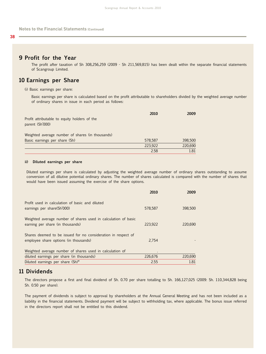**38**

#### **9 Profit for the Year**

 The profit after taxation of Sh 308,256,259 (2009 - Sh 211,569,815) has been dealt within the separate financial statements of Scangroup Limited.

### **10 Earnings per Share**

(i) Basic earnings per share:

 Basic earnings per share is calculated based on the profit attributable to shareholders divided by the weighted average number of ordinary shares in issue in each period as follows:

| Profit attributable to equity holders of the<br>parent (Sh'000) | 2010    | 2009    |
|-----------------------------------------------------------------|---------|---------|
| Weighted average number of shares (in thousands)                |         |         |
| Basic earnings per share (Sh)                                   | 578,587 | 398,500 |
|                                                                 | 223,922 | 220,690 |
|                                                                 | 2.58    | 1.81    |

#### **ii) Diluted earnings per share**

 Diluted earnings per share is calculated by adjusting the weighted average number of ordinary shares outstanding to assume conversion of all dilutive potential ordinary shares. The number of shares calculated is compared with the number of shares that would have been issued assuming the exercise of the share options.

|                                                                                                        | 2010    | 2009    |
|--------------------------------------------------------------------------------------------------------|---------|---------|
| Profit used in calculation of basic and diluted<br>earnings per share(Sh'000)                          | 578,587 | 398,500 |
| Weighted average number of shares used in calculation of basic<br>earning per share (in thousands)     | 223,922 | 220,690 |
| Shares deemed to be issued for no consideration in respect of<br>employee share options (in thousands) | 2.754   |         |
| Weighted average number of shares used in calculation of                                               |         |         |
| diluted earnings per share (in thousands)                                                              | 226,676 | 220,690 |
| Diluted earnings per share (Sh)*                                                                       | 2.55    | 1.81    |

#### **11 Dividends**

 The directors propose a first and final dividend of Sh. 0.70 per share totalling to Sh. 166,127,025 (2009: Sh. 110,344,828 being Sh. 0.50 per share).

 The payment of dividends is subject to approval by shareholders at the Annual General Meeting and has not been included as a liability in the financial statements. Dividend payment will be subject to withholding tax, where applicable. The bonus issue referred in the directors report shall not be entitled to this dividend.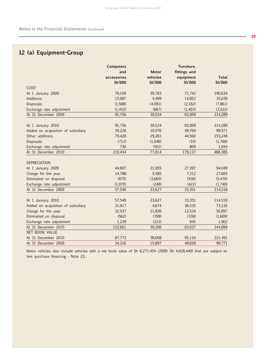# **12 (a) Equipment-Group**

|                                    | <b>Computers</b> |              | Furniture, |              |  |
|------------------------------------|------------------|--------------|------------|--------------|--|
|                                    | and              | <b>Motor</b> |            | fittings and |  |
|                                    | accessories      | vehicles     | equipment  | <b>Total</b> |  |
|                                    | Sh'000           | Sh'000       | Sh'000     | Sh'000       |  |
| COST                               |                  |              |            |              |  |
| At 1 January 2009                  | 79,109           | 39,783       | 71,742     | 190,634      |  |
| <b>Additions</b>                   | 15,687           | 4,499        | 14,852     | 35,038       |  |
| <b>Disposals</b>                   | (1,588)          | (4,091)      | (2,182)    | (7,861)      |  |
| Exchange rate adjustment           | (1, 452)         | (667)        | (1, 403)   | (3,522)      |  |
| At 31 December 2009                | 91,756           | 39,524       | 83,009     | 214,289      |  |
| At 1 January 2010                  | 91,756           | 39,524       | 83,009     | 214,289      |  |
| Added on acquisition of subsidiary | 39,226           | 10,576       | 49,769     | 99,571       |  |
| Other additions                    | 79,428           | 29,261       | 44,560     | 153,249      |  |
| Disposals                          | (712)            | (1,046)      | (10)       | (1,768)      |  |
| Exchange rate adjustment           | 736              | (501)        | 809        | 1,044        |  |
| At 31 December 2010                | 210,434          | 77,814       | 178,137    | 466,385      |  |
| <b>DEPRECIATION</b>                |                  |              |            |              |  |
| At 1 January 2009                  | 44,697           | 21,955       | 27,397     | 94,049       |  |
| Charge for the year                | 14,788           | 5,585        | 7,312      | 27,685       |  |
| Eliminated on disposal             | (875)            | (3,665)      | (936)      | (5, 476)     |  |
| Exchange rate adjustment           | (1,070)          | (248)        | (422)      | (1,740)      |  |
| At 31 December 2009                | 57,540           | 23,627       | 33,351     | 114,518      |  |
| At 1 January 2010                  | 57,540           | 23,627       | 33,351     | 114,518      |  |
| Added on acquisition of subsidiary | 31,917           | 4,674        | 36,535     | 73,126       |  |
| Charge for the year                | 32,537           | 11,826       | 12,534     | 56,897       |  |
| Eliminated on disposal             | (562)            | (709)        | (338)      | (1,609)      |  |
| Exchange rate adjustment           | 1,229            | (212)        | 945        | 1,962        |  |
| At 31 December 2010                | 122,661          | 39,206       | 83,027     | 244,894      |  |
| NET BOOK VALUE                     |                  |              |            |              |  |
| At 31 December 2010                | 87,773           | 38,608       | 95,110     | 221,491      |  |
| At 31 December 2009                | 34,216           | 15,897       | 49,658     | 99,771       |  |

 Motor vehicles also include vehicles with a net book value of Sh 6,271,454 (2009: Sh 4,628,440) that are subject to hire purchase financing - Note 23.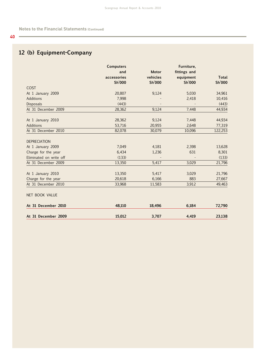#### **40**

# **12 (b) Equipment-Company**

|                         | <b>Computers</b> |              | Furniture, |              |  |
|-------------------------|------------------|--------------|------------|--------------|--|
|                         | and              | <b>Motor</b> |            | fittings and |  |
|                         | accessories      | vehicles     | equipment  | <b>Total</b> |  |
|                         | Sh'000           | Sh'000       | Sh'000     | Sh'000       |  |
| COST                    |                  |              |            |              |  |
| At 1 January 2009       | 20,807           | 9,124        | 5,030      | 34,961       |  |
| <b>Additions</b>        | 7,998            |              | 2,418      | 10,416       |  |
| <b>Disposals</b>        | (443)            |              |            | (443)        |  |
| At 31 December 2009     | 28,362           | 9,124        | 7,448      | 44,934       |  |
| At 1 January 2010       | 28,362           | 9,124        | 7,448      | 44,934       |  |
| <b>Additions</b>        | 53,716           | 20,955       | 2,648      | 77,319       |  |
| At 31 December 2010     | 82,078           | 30,079       | 10,096     | 122,253      |  |
| <b>DEPRECIATION</b>     |                  |              |            |              |  |
| At 1 January 2009       | 7,049            | 4,181        | 2,398      | 13,628       |  |
| Charge for the year     | 6,434            | 1,236        | 631        | 8,301        |  |
| Eliminated on write off | (133)            |              |            | (133)        |  |
| At 31 December 2009     | 13,350           | 5,417        | 3,029      | 21,796       |  |
| At 1 January 2010       | 13,350           | 5,417        | 3,029      | 21,796       |  |
| Charge for the year     | 20,618           | 6,166        | 883        | 27,667       |  |
| At 31 December 2010     | 33,968           | 11,583       | 3,912      | 49,463       |  |
| NET BOOK VALUE          |                  |              |            |              |  |
| At 31 December 2010     | 48,110           | 18,496       | 6,184      | 72,790       |  |
| At 31 December 2009     | 15,012           | 3,707        | 4,419      | 23,138       |  |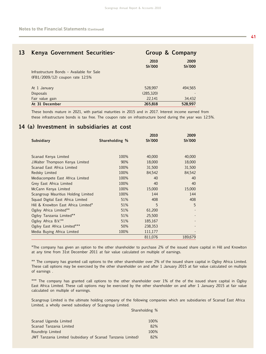| Kenya Government Securities-              |                | Group & Company |
|-------------------------------------------|----------------|-----------------|
|                                           | 2010<br>Sh'000 | 2009<br>Sh'000  |
| Infrastructure Bonds - Available for Sale |                |                 |
| (IFB1/2009/12) coupon rate 12.5%          |                |                 |
| At 1 January                              | 528,997        | 494.565         |
| <b>Disposals</b>                          | (285, 320)     |                 |
| Fair value gain                           | 22,141         | 34,432          |
| At 31 December                            | 265,818        | 528.997         |

 These bonds mature in 2021, with partial maturities in 2015 and in 2017. Interest income earned from these infrastructure bonds is tax free. The coupon rate on infrastructure bond during the year was 12.5%.

#### **14 (a) Investment in subsidiaries at cost**

|                                      |                | 2010    | 2009    |
|--------------------------------------|----------------|---------|---------|
| <b>Subsidiary</b>                    | Shareholding % | Sh'000  | Sh'000  |
|                                      |                |         |         |
| Scanad Kenya Limited                 | 100%           | 40,000  | 40,000  |
| J. Walter Thompson Kenya Limited     | 90%            | 18,000  | 18,000  |
| Scanad East Africa Limited           | 100%           | 31,500  | 31,500  |
| Redsky Limited                       | 100%           | 84,542  | 84,542  |
| Mediacompete East Africa Limited     | 100%           | 40      | 40      |
| Grey East Africa Limited             | 100%           | 40      | 40      |
| McCann Kenya Limited                 | 100%           | 15,000  | 15,000  |
| Scangroup Mauritius Holding Limited  | 100%           | 144     | 144     |
| Squad Digital East Africa Limited    | 51%            | 408     | 408     |
| Hill & Knowlton East Africa Limited* | 51%            | 5       | 5       |
| Ogilvy Africa Limited**              | 51%            | 61,200  |         |
| Ogilvy Tanzania Limited**            | 51%            | 25,500  |         |
| Ogilvy Africa B.V.**                 | 51%            | 185,167 |         |
| Ogilvy East Africa Limited***        | 50%            | 238,353 |         |
| Media Buying Africa Limited          | 100%           | 111,177 |         |
|                                      |                | 811,076 | 189,679 |
|                                      |                |         |         |

 \*The company has given an option to the other shareholder to purchase 2% of the issued share capital in Hill and Knowlton at any time from 31st December 2011 at fair value calculated on multiple of earnings.

 \*\* The company has granted call options to the other shareholder over 2% of the issued share capital in Ogilvy Africa Limited. These call options may be exercised by the other shareholder on and after 1 January 2015 at fair value calculated on multiple of earnings .

\*\*\* The company has granted call options to the other shareholder over 1% of the of the issued share capital in Ogilvy East Africa Limited. These call options may be exercised by the other shareholder on and after 1 January 2015 at fair value calculated on multiple of earnings.

 Scangroup Limited is the ultimate holding company of the following companies which are subsidiaries of Scanad East Africa Limited, a wholly owned subsidiary of Scangroup Limited.

Shareholding %

| Scanad Uganda Limited                                        | 100\% |
|--------------------------------------------------------------|-------|
| Scanad Tanzania Limited                                      | 82%   |
| Roundtrip Limited                                            | 100%  |
| JWT Tanzania Limited (subsidiary of Scanad Tanzania Limited) | 82%   |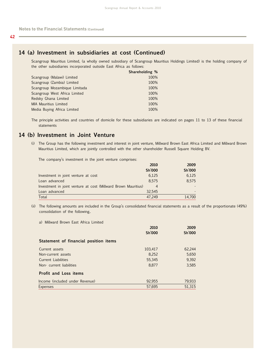#### **42**

#### **14 (a) Investment in subsidiaries at cost (Continued)**

 Scangroup Mauritius Limited, (a wholly owned subsidiary of Scangroup Mauritius Holdings Limited) is the holding company of the other subsidiaries incorporated outside East Africa as follows:

|                               | Shareholding % |
|-------------------------------|----------------|
| Scangroup (Malawi) Limited    | 100%           |
| Scangroup (Zambia) Limited    | 100%           |
| Scangroup Mozambique Limitada | 100%           |
| Scangroup West Africa Limited | 100%           |
| Redsky Ghana Limited          | 100%           |
| <b>MIA Mauritius Limited</b>  | 100%           |
| Media Buying Africa Limited   | 100%           |

 The principle activities and countries of domicile for these subsidiaries are indicated on pages 11 to 13 of these financial statements

#### **14 (b) Investment in Joint Venture**

 (i) The Group has the following investment and interest in joint venture, Millward Brown East Africa Limited and Millward Brown Mauritius Limited, which are jointly controlled with the other shareholder Russell Square Holding BV.

The company's investment in the joint venture comprises:

|                                                                | 2010   | 2009   |
|----------------------------------------------------------------|--------|--------|
|                                                                | Sh'000 | Sh'000 |
| Investment in joint venture at cost                            | 6,125  | 6,125  |
| Loan advanced                                                  | 8,575  | 8,575  |
| Investment in joint venture at cost (Millward Brown Mauritius) | 4      |        |
| Loan advanced                                                  | 32.545 |        |
| Total                                                          | 47.249 | 14,700 |

 (ii) The following amounts are included in the Group's consolidated financial statements as a result of the proportionate (49%) consolidation of the following..

a) Millward Brown East Africa Limited

|                                       | 2010    | 2009   |
|---------------------------------------|---------|--------|
|                                       | Sh'000  | Sh'000 |
| Statement of financial position items |         |        |
| Current assets                        | 103,417 | 62,244 |
| Non-current assets                    | 8,252   | 5,650  |
| Current Liabilities                   | 55,345  | 9,392  |
| Non-current liabilities               | 8,877   | 3,585  |
| <b>Profit and Loss items</b>          |         |        |
| Income (included under Revenue)       | 92,955  | 79,933 |
| <b>Expenses</b>                       | 57,695  | 51,315 |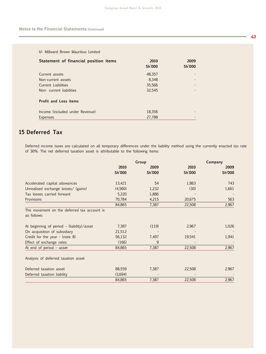| b) Millward Brown Mauritius Limited |  |  |  |
|-------------------------------------|--|--|--|
|-------------------------------------|--|--|--|

| Statement of financial position items | 2010<br>Sh'000 | 2009<br>Sh'000 |
|---------------------------------------|----------------|----------------|
| Current assets                        | 48,357         |                |
| Non-current assets                    | 8,348          |                |
| Current Liabilities                   | 35,566         |                |
| Non-current liabilities               | 32,545         |                |
| <b>Profit and Loss items</b>          |                |                |
| Income (included under Revenue)       | 18,356         |                |
| <b>Expenses</b>                       | 27,788         |                |

# **15 Deferred Tax**

 Deferred income taxes are calculated on all temporary differences under the liability method using the currently enacted tax rate of 30%. The net deferred taxation asset is attributable to the following items:

|                                                            | Group   |        |        | Company |      |      |
|------------------------------------------------------------|---------|--------|--------|---------|------|------|
|                                                            | 2010    |        |        | 2009    | 2010 | 2009 |
|                                                            | Sh'000  | Sh'000 | Sh'000 | Sh'000  |      |      |
| Accelerated capital allowances                             | 13,421  | 54     | 1,863  | 743     |      |      |
| Unrealised exchange losses/ (gains)                        | (4,560) | 1,232  | (30)   | 1,661   |      |      |
| Tax losses carried forward                                 | 5,220   | 1,886  |        |         |      |      |
| Provisions                                                 | 70,784  | 4,215  | 20,675 | 563     |      |      |
|                                                            | 84,865  | 7,387  | 22,508 | 2,967   |      |      |
| The movement on the deferred tax account is<br>as follows: |         |        |        |         |      |      |
| At beginning of period $-$ (liability)/asset               | 7,387   | (119)  | 2,967  | 1,026   |      |      |
| On acquisition of subsidiary                               | 21,512  |        |        |         |      |      |
| Credit for the year - (note 8)                             | 56,132  | 7,497  | 19,541 | 1,941   |      |      |
| Effect of exchange rates                                   | (166)   | 9      |        |         |      |      |
| At end of period $-$ asset                                 | 84,865  | 7,387  | 22,508 | 2,967   |      |      |
| Analysis of deferred taxation asset                        |         |        |        |         |      |      |
| Deferred taxation asset                                    | 88,559  | 7,387  | 22,508 | 2,967   |      |      |
| Deferred taxation liability                                | (3,694) |        |        |         |      |      |
|                                                            | 84,865  | 7,387  | 22,508 | 2,967   |      |      |
|                                                            |         |        |        |         |      |      |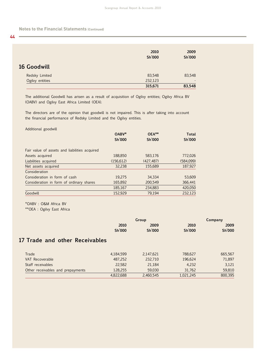|   | ٠ |
|---|---|
| - | ÷ |
|   |   |
|   |   |

|                    | 2010<br>Sh'000 | 2009<br>Sh'000 |
|--------------------|----------------|----------------|
| <b>16 Goodwill</b> |                |                |
| Redsky Limited     | 83,548         | 83,548         |
| Ogilvy entities    | 232,123        |                |
|                    | 315,671        | 83,548         |

The additional Goodwill has arisen as a result of acquisition of Ogilvy entities; Ogilvy Africa BV (OABV) and Ogilvy East Africa Limited (OEA).

The directors are of the opinion that goodwill is not impaired. This is after taking into account the financial performance of Redsky Limited and the Ogilvy entities.

| Additional goodwill                           |            |           |              |
|-----------------------------------------------|------------|-----------|--------------|
|                                               | OABV*      | OEA**     | <b>Total</b> |
|                                               | Sh'000     | Sh'000    | Sh'000       |
| Fair value of assets and liabilities acquired |            |           |              |
| Assets acquired                               | 188,850    | 583,176   | 772,026      |
| Liabilities acquired                          | (156, 612) | (427.487) | (584,099)    |
| Net assets acquired                           | 32,238     | 155,689   | 187,927      |
| Consideration                                 |            |           |              |
| Consideration in form of cash                 | 19.275     | 34.334    | 53,609       |
| Consideration in form of ordinary shares      | 165,892    | 200,549   | 366,441      |
|                                               | 185,167    | 234,883   | 420,050      |
| Goodwill                                      | 152,929    | 79.194    | 232,123      |
|                                               |            |           |              |

\*OABV : O&M Africa BV

\*\*OEA : Ogilvy East Africa

|                                   | Group         |               |           | Company |  |
|-----------------------------------|---------------|---------------|-----------|---------|--|
|                                   | 2010          | 2009          | 2010      | 2009    |  |
|                                   | <b>Sh'000</b> | <b>Sh'000</b> | Sh'000    | Sh'000  |  |
| 17 Trade and other Receivables    |               |               |           |         |  |
| Trade                             | 4,184,599     | 2,147,621     | 788,627   | 665,567 |  |
| VAT Recoverable                   | 487,252       | 232,710       | 196,624   | 71,897  |  |
| Staff receivables                 | 22,582        | 21,184        | 4,232     | 3,121   |  |
| Other receivables and prepayments | 128,255       | 59,030        | 31,762    | 59,810  |  |
|                                   | 4,822,688     | 2,460,545     | 1,021,245 | 800,395 |  |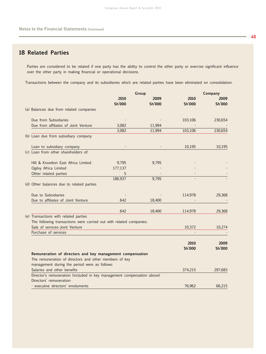# **18 Related Parties**

 Parties are considered to be related if one party has the ability to control the other party or exercise significant influence over the other party in making financial or operational decisions.

Transactions between the company and its subsidiaries which are related parties have been eliminated on consolidation.

|                                                                         | Group   |        | Company |         |
|-------------------------------------------------------------------------|---------|--------|---------|---------|
|                                                                         | 2010    | 2009   | 2010    | 2009    |
|                                                                         | Sh'000  | Sh'000 | Sh'000  | Sh'000  |
| (a) Balances due from related companies                                 |         |        |         |         |
| Due from Subsidiaries                                                   |         |        | 103,106 | 230,654 |
| Due from affiliates of Joint Venture                                    | 3,082   | 11,994 |         |         |
|                                                                         | 3,082   | 11,994 | 103,106 | 230,654 |
| (b) Loan due from subsidiary company                                    |         |        |         |         |
| Loan to subsidiary company                                              |         |        | 10,195  | 10,195  |
| (c) Loan from other shareholders of:                                    |         |        |         |         |
| Hill & Knowlton East Africa Limited                                     | 9,795   | 9,795  |         |         |
| Ogilvy Africa Limited                                                   | 177,137 |        |         |         |
| Other related parties                                                   | 5       |        |         |         |
|                                                                         | 186,937 | 9,795  |         |         |
| (d) Other balances due to related parties                               |         |        |         |         |
| Due to Subsidiaries                                                     |         |        | 114,978 | 29,368  |
| Due to affiliates of Joint Venture                                      | 642     | 18,400 |         |         |
|                                                                         | 642     | 18,400 | 114,978 | 29,368  |
| (e) Transactions with related parties                                   |         |        |         |         |
| The following transactions were carried out with related companies:     |         |        |         |         |
| Sale of services-Joint Venture                                          |         |        | 10,372  | 10,274  |
| Purchase of services                                                    |         |        |         |         |
|                                                                         |         |        | 2010    | 2009    |
|                                                                         |         |        | Sh'000  | Sh'000  |
| Remuneration of directors and key management compensation               |         |        |         |         |
| The remuneration of directors and other members of key                  |         |        |         |         |
| management during the period were as follows:                           |         |        |         |         |
| Salaries and other benefits                                             |         |        | 374,215 | 297,683 |
| Director's remuneration (included in key management compensation above) |         |        |         |         |
| Directors' remuneration                                                 |         |        |         |         |
| - executive directors' emoluments                                       |         |        | 76,962  | 66.215  |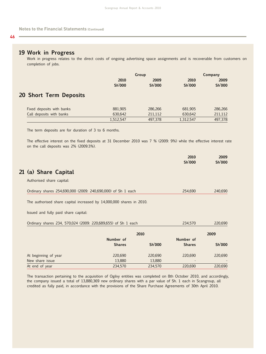#### **46**

#### **19 Work in Progress**

 Work in progress relates to the direct costs of ongoing advertising space assignments and is recoverable from customers on completion of jobs.

|                               | <b>Group</b> |         |           | Company |  |
|-------------------------------|--------------|---------|-----------|---------|--|
|                               | 2010         | 2009    | 2010      | 2009    |  |
|                               | Sh'000       | Sh'000  | Sh'000    | Sh'000  |  |
| <b>20 Short Term Deposits</b> |              |         |           |         |  |
| Fixed deposits with banks     | 881,905      | 286,266 | 681,905   | 286,266 |  |
| Call deposits with banks      | 630,642      | 211,112 | 630,642   | 211,112 |  |
|                               | 1,512,547    | 497,378 | 1,312,547 | 497,378 |  |

The term deposits are for duration of 3 to 6 months.

 The effective interest on the fixed deposits at 31 December 2010 was 7 % (2009: 9%) while the effective interest rate on the call deposits was 2% (2009:3%).

|                                                                      |               |         | 2010<br>Sh'000 | 2009<br>Sh'000 |
|----------------------------------------------------------------------|---------------|---------|----------------|----------------|
| 21 (a) Share Capital                                                 |               |         |                |                |
| Authorised share capital:                                            |               |         |                |                |
| Ordinary shares 254,690,000 (2009: 240,690,000) of Sh 1 each         |               |         | 254,690        | 240,690        |
| The authorised share capital increased by 14,000,000 shares in 2010. |               |         |                |                |
| Issued and fully paid share capital:                                 |               |         |                |                |
| Ordinary shares 234, 570,024 (2009: 220,689,655) of Sh 1 each        |               |         | 234,570        | 220,690        |
|                                                                      |               | 2010    |                | 2009           |
|                                                                      | Number of     |         | Number of      |                |
|                                                                      | <b>Shares</b> | Sh'000  | <b>Shares</b>  | Sh'000         |
| At beginning of year                                                 | 220,690       | 220,690 | 220,690        | 220,690        |
| New share issue                                                      | 13,880        | 13,880  |                |                |
| At end of year                                                       | 234,570       | 234,570 | 220,690        | 220,690        |

 The transaction pertaining to the acquisition of Ogilvy entities was completed on 8th October 2010, and accordingly, the company issued a total of 13,880,369 new ordinary shares with a par value of Sh. 1 each in Scangroup, all credited as fully paid, in accordance with the provisions of the Share Purchase Agreements of 30th April 2010.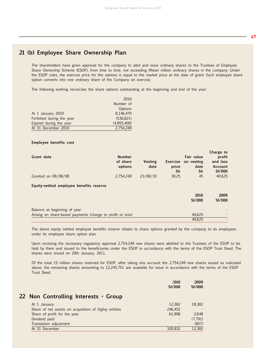### **21 (b) Employee Share Ownership Plan**

 The shareholders have given approval for the company to allot and issue ordinary shares to the Trustees of Employee Share Ownership Scheme (ESOP), from time to time, not exceeding fifteen million ordinary shares in the company. Under the ESOP rules, the exercise price for the options is equal to the market price at the date of grant. Each employee share option converts into one ordinary share of the Company on exercise.

The following working reconciles the share options outstanding at the beginning and end of the year:

|                           | 2010        |
|---------------------------|-------------|
|                           | Number of   |
|                           | Options     |
| At 1 January 2010         | 8,146,470   |
| Forfeited during the year | (536, 821)  |
| Expired during the year   | (4,855,400) |
| At 31 December 2010       | 2,754,249   |
|                           |             |

#### **Employee benefits cost**

| Grant date          | <b>Number</b><br>of share<br>options | <b>Vesting</b><br>date |       | Fair value<br>on vesting<br><b>Exercise</b><br>date<br>price |        |
|---------------------|--------------------------------------|------------------------|-------|--------------------------------------------------------------|--------|
|                     |                                      |                        | Sh    | Sh                                                           | Sh'000 |
| Granted on 08/08/08 | 2.754.249                            | 23/08/10               | 30.25 | 45                                                           | 40.625 |

**Equity-settled employee benefits reserve**

|                                                            | 2010<br>Sh'000           | 2009<br>Sh'000 |
|------------------------------------------------------------|--------------------------|----------------|
| Balance at beginning of year                               | $\overline{\phantom{0}}$ |                |
| Arising on share-based payments (charge to profit or loss) | 40,625                   |                |
|                                                            | 40,625                   |                |

 The above equity settled employee benefits reserve relates to share options granted by the company to its employees under its employee share option plan.

 Upon receiving the necessary regulatory approval 2,754,249 new shares were allotted to the Trustees of the ESOP to be held by them and issued to the beneficiaries under the ESOP in accordance with the terms of the ESOP Trust Deed. The shares were issued on 20th January, 2011.

 Of the total 15 million shares reserved for ESOP, after taking into account the 2,754,249 new shares issued as indicated above, the remaining shares amounting to 12,245,751 are available for issue in accordance with the terms of the ESOP Trust Deed.

|                                                       | 2010                     | 2009    |
|-------------------------------------------------------|--------------------------|---------|
|                                                       | Sh'000                   | Sh'000  |
| 22 Non Controlling Interests - Group                  |                          |         |
| At 1 January                                          | 12,382                   | 18,382  |
| Share of net assets on acquisition of Ogilvy entities | 246,452                  |         |
| Share of profit for the year                          | 61.998                   | 2,648   |
| Dividend paid                                         | $\overline{\phantom{a}}$ | (7,791) |
| Translation adjustment                                | $\overline{\phantom{0}}$ | (857)   |
| At 31 December                                        | 320,832                  | 12,382  |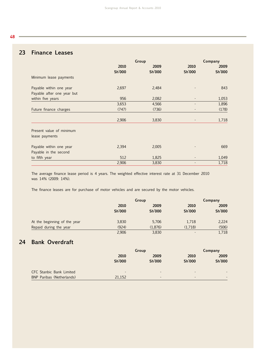#### **48**

# **23 Finance Leases**

|                            | Group  |        |               | Company |  |
|----------------------------|--------|--------|---------------|---------|--|
|                            | 2010   | 2009   | 2010          | 2009    |  |
|                            | Sh'000 | Sh'000 | <b>Sh'000</b> | Sh'000  |  |
| Minimum lease payments     |        |        |               |         |  |
| Payable within one year    | 2,697  | 2,484  |               | 843     |  |
| Payable after one year but |        |        |               |         |  |
| within five years          | 956    | 2,082  |               | 1,053   |  |
|                            | 3,653  | 4,566  |               | 1,896   |  |
| Future finance charges     | (747)  | (736)  |               | (178)   |  |
|                            | 2,906  | 3,830  |               | 1,718   |  |
| Present value of minimum   |        |        |               |         |  |
| lease payments             |        |        |               |         |  |
| Payable within one year    | 2,394  | 2,005  |               | 669     |  |
| Payable in the second      |        |        |               |         |  |
| to fifth year              | 512    | 1,825  |               | 1,049   |  |
|                            | 2,906  | 3,830  |               | 1,718   |  |

 The average finance lease period is 4 years. The weighted effective interest rate at 31 December 2010 was 14% (2009: 14%).

The finance leases are for purchase of motor vehicles and are secured by the motor vehicles.

|                              | Group          |                |                          | Company        |  |
|------------------------------|----------------|----------------|--------------------------|----------------|--|
|                              | 2010<br>Sh'000 | 2009<br>Sh'000 | 2010<br><b>Sh'000</b>    | 2009<br>Sh'000 |  |
| At the beginning of the year | 3,830          | 5,706          | 1,718                    | 2,224          |  |
| Repaid during the year       | (924)          | (1,876)        | (1,718)                  | (506)          |  |
|                              | 2,906          | 3,830          | $\overline{\phantom{a}}$ | 1,718          |  |

# **24 Bank Overdraft**

|                                  | Group                    |                          | Company                  |                |
|----------------------------------|--------------------------|--------------------------|--------------------------|----------------|
|                                  | 2010<br>Sh'000           | 2009<br>Sh'000           | 2010<br><b>Sh'000</b>    | 2009<br>Sh'000 |
| CFC Stanbic Bank Limited         | $\overline{\phantom{0}}$ | $\overline{\phantom{0}}$ | $\overline{\phantom{0}}$ | -              |
| <b>BNP Paribas (Netherlands)</b> | 21,152                   | $\overline{\phantom{a}}$ | $\overline{\phantom{0}}$ | -              |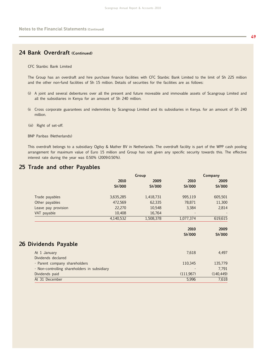#### **24 Bank Overdraft (Continued)**

CFC Stanbic Bank Limited

 The Group has an overdraft and hire purchase finance facilities with CFC Stanbic Bank Limited to the limit of Sh 225 million and the other non-fund facilities of Sh 15 million. Details of securities for the facilities are as follows:

- (i) A joint and several debentures over all the present and future moveable and immovable assets of Scangroup Limited and all the subsidiaries in Kenya for an amount of Sh 240 million.
- (ii Cross corporate guarantees and indemnities by Scangroup Limited and its subsidiaries in Kenya. for an amount of Sh 240 million.
- (iii) Right of set-off.
- BNP Paribas (Netherlands)

 This overdraft belongs to a subsidiary Ogilvy & Mather BV in Netherlands. The overdraft facility is part of the WPP cash pooling arrangement for maximum value of Euro 15 million and Group has not given any specific security towards this. The effective interest rate during the year was 0.50% (2009:0.50%).

#### **25 Trade and other Payables**

|                                              | Group     |           |                | Company        |
|----------------------------------------------|-----------|-----------|----------------|----------------|
|                                              | 2010      | 2009      | 2010           | 2009           |
|                                              | Sh'000    | Sh'000    | Sh'000         | Sh'000         |
| Trade payables                               | 3,635,285 | 1,418,731 | 995,119        | 605,501        |
| Other payables                               | 472,569   | 62,335    | 78,871         | 11,300         |
| Leave pay provision                          | 22,270    | 10,548    | 3,384          | 2,814          |
| VAT payable                                  | 10,408    | 16,764    |                |                |
|                                              | 4,140,532 | 1,508,378 | 1,077,374      | 619,615        |
|                                              |           |           | 2010<br>Sh'000 | 2009<br>Sh'000 |
| 26 Dividends Payable                         |           |           |                |                |
| At 1 January<br>Dividends declared           |           |           | 7,618          | 4,497          |
| - Parent company shareholders                |           |           | 110,345        | 135,779        |
| - Non-controlling shareholders in subsidiary |           |           |                | 7,791          |
| Dividends paid                               |           |           | (111,967)      | (140, 449)     |
| At 31 December                               |           |           | 5,996          | 7,618          |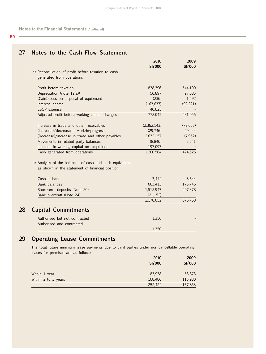#### **50**

#### **27 Notes to the Cash Flow Statement**

|                                                      | 2010        | 2009     |
|------------------------------------------------------|-------------|----------|
|                                                      | Sh'000      | Sh'000   |
| (a) Reconciliation of profit before taxation to cash |             |          |
| generated from operations                            |             |          |
| Profit before taxation                               | 838,396     | 544,100  |
| Depreciation (note $12(a)$ )                         | 56,897      | 27,685   |
| (Gain)/Loss on disposal of equipment                 | (236)       | 1,492    |
| Interest income                                      | (163, 637)  | (92,221) |
| <b>ESOP</b> Expense                                  | 40,625      |          |
| Adjusted profit before working capital changes       | 772,045     | 481,056  |
| Increase in trade and other receivables              | (2,362,143) | (72,663) |
| (Increase)/decrease in work-in-progress              | (29,746)    | 20,444   |
| (Decrease)/increase in trade and other payables      | 2,632,157   | (7, 952) |
| Movements in related party balances                  | (8,846)     | 3,641    |
| Increase in working capital on acquisition           | 197,097     |          |
| Cash generated from operations                       | 1,200,564   | 424,526  |

 (b) Analysis of the balances of cash and cash equivalents as shown in the statement of financial position

| Cash in hand                  | 3.444     | 3.644   |
|-------------------------------|-----------|---------|
| Bank balances                 | 683.413   | 175,746 |
| Short-term deposits (Note 20) | 1.512.947 | 497,378 |
| Bank overdraft (Note 24)      | (21.152)  |         |
|                               | 2,178,652 | 676,768 |

# **28 Capital Commitments**

| Authorised but not contracted | 1.350                    |  |
|-------------------------------|--------------------------|--|
| Authorised and contracted     | $\overline{\phantom{0}}$ |  |
|                               | 1.350                    |  |

# **29 Operating Lease Commitments**

 The total future minimum lease payments due to third parties under non-cancellable operating leases for premises are as follows:

|                     | 2010    | 2009    |
|---------------------|---------|---------|
|                     | Sh'000  | Sh'000  |
| Within 1 year       | 83,938  | 53,873  |
| Within 2 to 3 years | 168,486 | 113,980 |
|                     | 252,424 | 167,853 |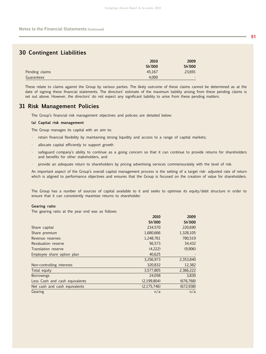# **30 Contingent Liabilities**

|                | 2010          | 2009          |
|----------------|---------------|---------------|
|                | <b>Sh'000</b> | <b>Sh'000</b> |
| Pending claims | 45,167        | 23,691        |
| Guarantees     | 4,000         | $\sim$        |

 These relate to claims against the Group by various parties. The likely outcome of these claims cannot be determined as at the date of signing these financial statements. The directors' estimate of the maximum liability arising from these pending claims is set out above. However, the directors' do not expect any significant liability to arise from these pending matters.

#### **31 Risk Management Policies**

The Group's financial risk management objectives and policies are detailed below:

#### **(a) Capital risk management**

The Group manages its capital with an aim to:

- • retain financial flexibility by maintaining strong liquidity and access to a range of capital markets;
- • allocate capital efficiently to support growth
- safeguard company's ability to continue as a going concern so that it can continue to provide returns for shareholders and benefits for other stakeholders, and
- • provide an adequate return to shareholders by pricing advertising services commensurately with the level of risk.

 An important aspect of the Group's overall capital management process is the setting of a target risk- adjusted rate of return which is aligned to performance objectives and ensures that the Group is focused on the creation of value for shareholders.

 The Group has a number of sources of capital available to it and seeks to optimise its equity/debt structure in order to ensure that it can consistently maximize returns to shareholder.

#### **Gearing ratio**

The gearing ratio at the year end was as follows:

|                                | 2010          | 2009       |
|--------------------------------|---------------|------------|
|                                | Sh'000        | Sh'000     |
| Share capital                  | 234,570       | 220,690    |
| Share premium                  | 1,680,666     | 1,328,105  |
| Revenue reserves               | 1,248,761     | 780,519    |
| Revaluation reserve            | 56,573        | 34,432     |
| Translation reserve            | (4,222)       | (9,906)    |
| Employee share option plan     | 40,625        |            |
|                                | 3,256,973     | 2,353,840  |
| Non-controlling interests      | 320,832       | 12,382     |
| Total equity                   | 3,577,805     | 2,366,222  |
| <b>Borrowings</b>              | 24,058        | 3,830      |
| Less Cash and cash equivalents | (2, 199, 804) | (676, 768) |
| Net cash and cash equivalents  | (2, 175, 746) | (672, 938) |
| Gearing                        | n/a           | n/a        |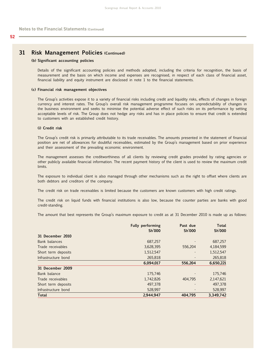#### **52**

#### **31 Risk Management Policies (Continued)**

#### **(b) Significant accounting policies**

 Details of the significant accounting policies and methods adopted, including the criteria for recognition, the basis of measurement and the basis on which income and expenses are recognised, in respect of each class of financial asset, financial liability and equity instrument are disclosed in note 1 to the financial statements.

#### **(c) Financial risk management objectives**

 The Group's activities expose it to a variety of financial risks including credit and liquidity risks, effects of changes in foreign currency and interest rates. The Group's overall risk management programme focuses on unpredictability of changes in the business environment and seeks to minimise the potential adverse effect of such risks on its performance by setting acceptable levels of risk. The Group does not hedge any risks and has in place policies to ensure that credit is extended to customers with an established credit history.

#### **(i) Credit risk**

 The Group's credit risk is primarily attributable to its trade receivables. The amounts presented in the statement of financial position are net of allowances for doubtful receivables, estimated by the Group's management based on prior experience and their assessment of the prevailing economic environment.

 The management assesses the creditworthiness of all clients by reviewing credit grades provided by rating agencies or other publicly available financial information. The recent payment history of the client is used to review the maximum credit limits.

 The exposure to individual client is also managed through other mechanisms such as the right to offset where clients are both debtors and creditors of the company.

The credit risk on trade receivables is limited because the customers are known customers with high credit ratings.

 The credit risk on liquid funds with financial institutions is also low, because the counter parties are banks with good credit-standing.

The amount that best represents the Group's maximum exposure to credit as at 31 December 2010 is made up as follows:

|                     | <b>Fully performing</b><br>Sh'000 | Past due<br><b>Sh'000</b> | <b>Total</b><br><b>Sh'000</b> |
|---------------------|-----------------------------------|---------------------------|-------------------------------|
| 31 December 2010    |                                   |                           |                               |
| Bank balances       | 687,257                           |                           | 687,257                       |
| Trade receivables   | 3,628,395                         | 556,204                   | 4,184,599                     |
| Short term deposits | 1,512,547                         |                           | 1,512,547                     |
| Infrastructure bond | 265,818                           |                           | 265,818                       |
|                     | 6,094,017                         | 556,204                   | 6,650,221                     |
| 31 December 2009    |                                   |                           |                               |
| Bank balance        | 175,746                           |                           | 175,746                       |
| Trade receivables   | 1,742,826                         | 404,795                   | 2,147,621                     |
| Short term deposits | 497,378                           |                           | 497,378                       |
| Infrastructure bond | 528,997                           |                           | 528,997                       |
| <b>Total</b>        | 2.944.947                         | 404.795                   | 3.349.742                     |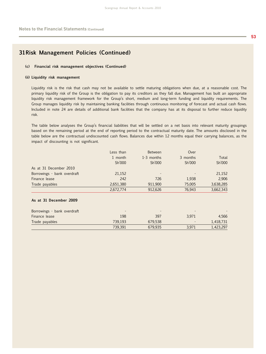#### **31Risk Management Policies (Continued)**

#### **(c) Financial risk management objectives (Continued)**

#### **(ii) Liquidity risk management**

 Liquidity risk is the risk that cash may not be available to settle maturing obligations when due, at a reasonable cost. The primary liquidity risk of the Group is the obligation to pay its creditors as they fall due. Management has built an appropriate liquidity risk management framework for the Group's short, medium and long-term funding and liquidity requirements. The Group manages liquidity risk by maintaining banking facilities through continuous monitoring of forecast and actual cash flows. Included in note 24 are details of additional bank facilities that the company has at its disposal to further reduce liquidity risk.

 The table below analyses the Group's financial liabilities that will be settled on a net basis into relevant maturity groupings based on the remaining period at the end of reporting period to the contractual maturity date. The amounts disclosed in the table below are the contractual undiscounted cash flows. Balances due within 12 months equal their carrying balances, as the impact of discounting is not significant.

|                             | Less than | <b>Between</b>           | Over     |           |
|-----------------------------|-----------|--------------------------|----------|-----------|
|                             | 1 month   | $1-3$ months             | 3 months | Total     |
|                             | Sh'000    | Sh'000                   | Sh'000   | Sh'000    |
| As at 31 December 2010      |           |                          |          |           |
| Borrowings - bank overdraft | 21,152    | $\overline{\phantom{a}}$ |          | 21,152    |
| Finance lease               | 242       | 726                      | 1,938    | 2,906     |
| Trade payables              | 2,651,380 | 911,900                  | 75,005   | 3,638,285 |
|                             | 2,672,774 | 912,626                  | 76,943   | 3,662,343 |
| As at 31 December 2009      |           |                          |          |           |
| Borrowings - bank overdraft |           | $\qquad \qquad$          |          |           |
| Finance lease               | 198       | 397                      | 3.971    | 4.566     |

Trade payables 1,418,731 679,538 679,538 679,538 679,538 679,538 679,538 679,538 679,538 679,538 679,538 679,538 739,391 679,935 3,971 1,423,297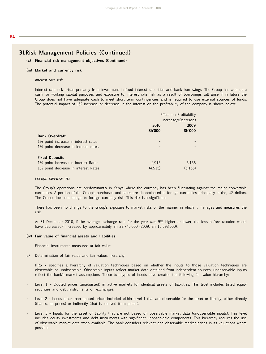#### **31Risk Management Policies (Continued)**

**(c) Financial risk management objectives (Continued)**

#### **(iii) Market and currency risk**

#### *Interest rate risk*

 Interest rate risk arises primarily from investment in fixed interest securities and bank borrowings. The Group has adequate cash for working capital purposes and exposure to interest rate risk as a result of borrowings will arise if in future the Group does not have adequate cash to meet short term contingencies and is required to use external sources of funds. The potential impact of 1% increase or decrease in the interest on the profitability of the company is shown below:

|                                     | Effect on Profitability |          |
|-------------------------------------|-------------------------|----------|
|                                     | Increase/(Decrease)     |          |
|                                     | 2010<br>2009            |          |
|                                     | <b>Sh'000</b>           | Sh'000   |
| <b>Bank Overdraft</b>               |                         |          |
| 1% point increase in interest rates |                         |          |
| 1% point decrease in interest rates |                         |          |
| <b>Fixed Deposits</b>               |                         |          |
| 1% point increase in interest Rates | 4,915                   | 5,156    |
| 1% point decrease in interest Rates | (4,915)                 | (5, 156) |

#### *Foreign currency risk*

 The Group's operations are predominantly in Kenya where the currency has been fluctuating against the major convertible currencies. A portion of the Group's purchases and sales are denominated in foreign currencies principally in the, US dollars. The Group does not hedge its foreign currency risk. This risk is insignificant.

 There has been no change to the Group's exposure to market risks or the manner in which it manages and measures the risk.

 At 31 December 2010, if the average exchange rate for the year was 5% higher or lower, the loss before taxation would have decreased/ increased by approximately Sh 29,745,000 (2009: Sh 15,598,000).

#### **(iv) Fair value of financial assets and liabilities**

Financial instruments measured at fair value

a) Determination of fair value and fair values hierarchy

 IFRS 7 specifies a hierarchy of valuation techniques based on whether the inputs to those valuation techniques are observable or unobservable. Observable inputs reflect market data obtained from independent sources; unobservable inputs reflect the bank's market assumptions. These two types of inputs have created the following fair value hierarchy:

- Level 1 Quoted prices (unadjusted) in active markets for identical assets or liabilities. This level includes listed equity securities and debt instruments on exchanges.
- Level 2 Inputs other than quoted prices included within Level 1 that are observable for the asset or liability, either directly (that is, as prices) or indirectly (that is, derived from prices).
- Level 3 Inputs for the asset or liability that are not based on observable market data (unobservable inputs). This level includes equity investments and debt instruments with significant unobservable components. This hierarchy requires the use of observable market data when available. The bank considers relevant and observable market prices in its valuations where possible.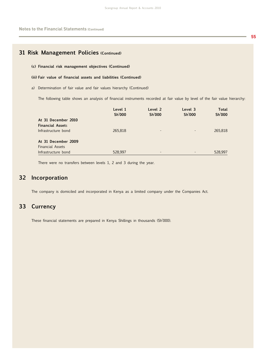#### **31 Risk Management Policies (Continued)**

#### **(c) Financial risk management objectives (Continued)**

#### **(iii) Fair value of financial assets and liabilities (Continued)**

a) Determination of fair value and fair values hierarchy (Continued)

The following table shows an analysis of financial instruments recorded at fair value by level of the fair value hierarchy:

|                         | Level 1<br><b>Sh'000</b> | Level 2<br><b>Sh'000</b> | Level 3<br><b>Sh'000</b> | Total<br>Sh'000 |
|-------------------------|--------------------------|--------------------------|--------------------------|-----------------|
| At 31 December 2010     |                          |                          |                          |                 |
| <b>Financial Assets</b> |                          |                          |                          |                 |
| Infrastructure bond     | 265,818                  | $\overline{\phantom{a}}$ | $\overline{\phantom{a}}$ | 265,818         |
| At 31 December 2009     |                          |                          |                          |                 |
| <b>Financial Assets</b> |                          |                          |                          |                 |
| Infrastructure bond     | 528,997                  | $\overline{\phantom{a}}$ | $\overline{\phantom{0}}$ | 528,997         |

There were no transfers between levels 1, 2 and 3 during the year.

# **32 Incorporation**

The company is domiciled and incorporated in Kenya as a limited company under the Companies Act.

# **33 Currency**

These financial statements are prepared in Kenya Shillings in thousands (Sh'000).